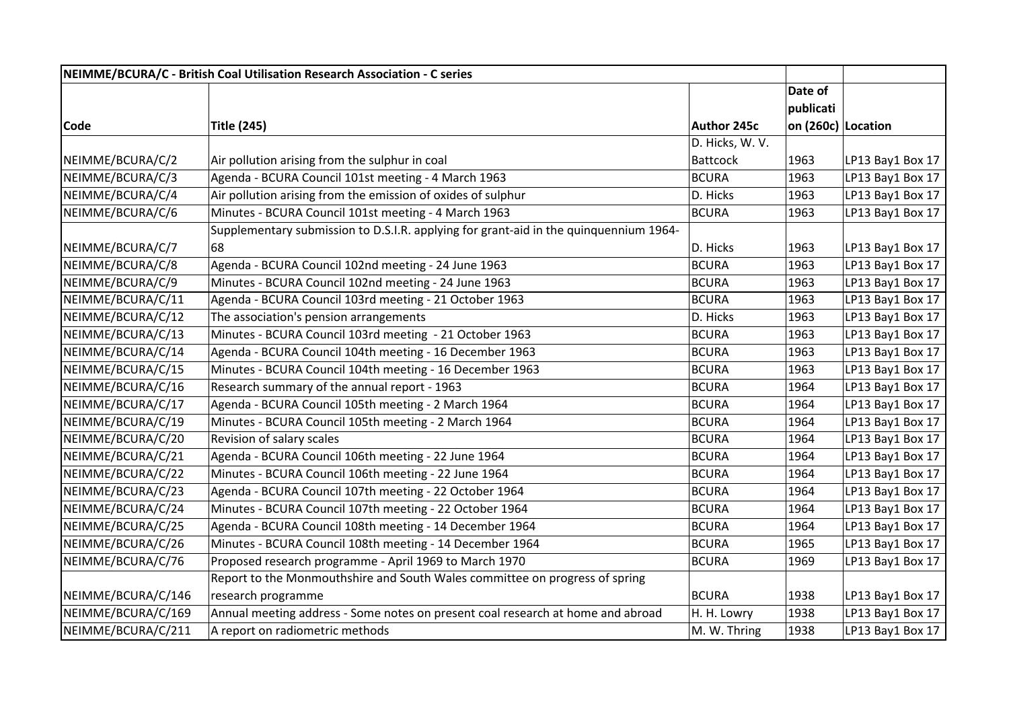| NEIMME/BCURA/C - British Coal Utilisation Research Association - C series |                                                                                       |                    |                    |                  |
|---------------------------------------------------------------------------|---------------------------------------------------------------------------------------|--------------------|--------------------|------------------|
|                                                                           |                                                                                       |                    | Date of            |                  |
|                                                                           |                                                                                       |                    | publicati          |                  |
| Code                                                                      | Title (245)                                                                           | <b>Author 245c</b> | on (260c) Location |                  |
|                                                                           |                                                                                       | D. Hicks, W. V.    |                    |                  |
| NEIMME/BCURA/C/2                                                          | Air pollution arising from the sulphur in coal                                        | <b>Battcock</b>    | 1963               | LP13 Bay1 Box 17 |
| NEIMME/BCURA/C/3                                                          | Agenda - BCURA Council 101st meeting - 4 March 1963                                   | <b>BCURA</b>       | 1963               | LP13 Bay1 Box 17 |
| NEIMME/BCURA/C/4                                                          | Air pollution arising from the emission of oxides of sulphur                          | D. Hicks           | 1963               | LP13 Bay1 Box 17 |
| NEIMME/BCURA/C/6                                                          | Minutes - BCURA Council 101st meeting - 4 March 1963                                  | <b>BCURA</b>       | 1963               | LP13 Bay1 Box 17 |
|                                                                           | Supplementary submission to D.S.I.R. applying for grant-aid in the quinquennium 1964- |                    |                    |                  |
| NEIMME/BCURA/C/7                                                          | 68                                                                                    | D. Hicks           | 1963               | LP13 Bay1 Box 17 |
| NEIMME/BCURA/C/8                                                          | Agenda - BCURA Council 102nd meeting - 24 June 1963                                   | <b>BCURA</b>       | 1963               | LP13 Bay1 Box 17 |
| NEIMME/BCURA/C/9                                                          | Minutes - BCURA Council 102nd meeting - 24 June 1963                                  | <b>BCURA</b>       | 1963               | LP13 Bay1 Box 17 |
| NEIMME/BCURA/C/11                                                         | Agenda - BCURA Council 103rd meeting - 21 October 1963                                | <b>BCURA</b>       | 1963               | LP13 Bay1 Box 17 |
| NEIMME/BCURA/C/12                                                         | The association's pension arrangements                                                | D. Hicks           | 1963               | LP13 Bay1 Box 17 |
| NEIMME/BCURA/C/13                                                         | Minutes - BCURA Council 103rd meeting - 21 October 1963                               | <b>BCURA</b>       | 1963               | LP13 Bay1 Box 17 |
| NEIMME/BCURA/C/14                                                         | Agenda - BCURA Council 104th meeting - 16 December 1963                               | <b>BCURA</b>       | 1963               | LP13 Bay1 Box 17 |
| NEIMME/BCURA/C/15                                                         | Minutes - BCURA Council 104th meeting - 16 December 1963                              | <b>BCURA</b>       | 1963               | LP13 Bay1 Box 17 |
| NEIMME/BCURA/C/16                                                         | Research summary of the annual report - 1963                                          | <b>BCURA</b>       | 1964               | LP13 Bay1 Box 17 |
| NEIMME/BCURA/C/17                                                         | Agenda - BCURA Council 105th meeting - 2 March 1964                                   | <b>BCURA</b>       | 1964               | LP13 Bay1 Box 17 |
| NEIMME/BCURA/C/19                                                         | Minutes - BCURA Council 105th meeting - 2 March 1964                                  | <b>BCURA</b>       | 1964               | LP13 Bay1 Box 17 |
| NEIMME/BCURA/C/20                                                         | Revision of salary scales                                                             | <b>BCURA</b>       | 1964               | LP13 Bay1 Box 17 |
| NEIMME/BCURA/C/21                                                         | Agenda - BCURA Council 106th meeting - 22 June 1964                                   | <b>BCURA</b>       | 1964               | LP13 Bay1 Box 17 |
| NEIMME/BCURA/C/22                                                         | Minutes - BCURA Council 106th meeting - 22 June 1964                                  | <b>BCURA</b>       | 1964               | LP13 Bay1 Box 17 |
| NEIMME/BCURA/C/23                                                         | Agenda - BCURA Council 107th meeting - 22 October 1964                                | <b>BCURA</b>       | 1964               | LP13 Bay1 Box 17 |
| NEIMME/BCURA/C/24                                                         | Minutes - BCURA Council 107th meeting - 22 October 1964                               | <b>BCURA</b>       | 1964               | LP13 Bay1 Box 17 |
| NEIMME/BCURA/C/25                                                         | Agenda - BCURA Council 108th meeting - 14 December 1964                               | <b>BCURA</b>       | 1964               | LP13 Bay1 Box 17 |
| NEIMME/BCURA/C/26                                                         | Minutes - BCURA Council 108th meeting - 14 December 1964                              | <b>BCURA</b>       | 1965               | LP13 Bay1 Box 17 |
| NEIMME/BCURA/C/76                                                         | Proposed research programme - April 1969 to March 1970                                | <b>BCURA</b>       | 1969               | LP13 Bay1 Box 17 |
|                                                                           | Report to the Monmouthshire and South Wales committee on progress of spring           |                    |                    |                  |
| NEIMME/BCURA/C/146                                                        | research programme                                                                    | BCURA              | 1938               | LP13 Bay1 Box 17 |
| NEIMME/BCURA/C/169                                                        | Annual meeting address - Some notes on present coal research at home and abroad       | H. H. Lowry        | 1938               | LP13 Bay1 Box 17 |
| NEIMME/BCURA/C/211                                                        | A report on radiometric methods                                                       | M. W. Thring       | 1938               | LP13 Bay1 Box 17 |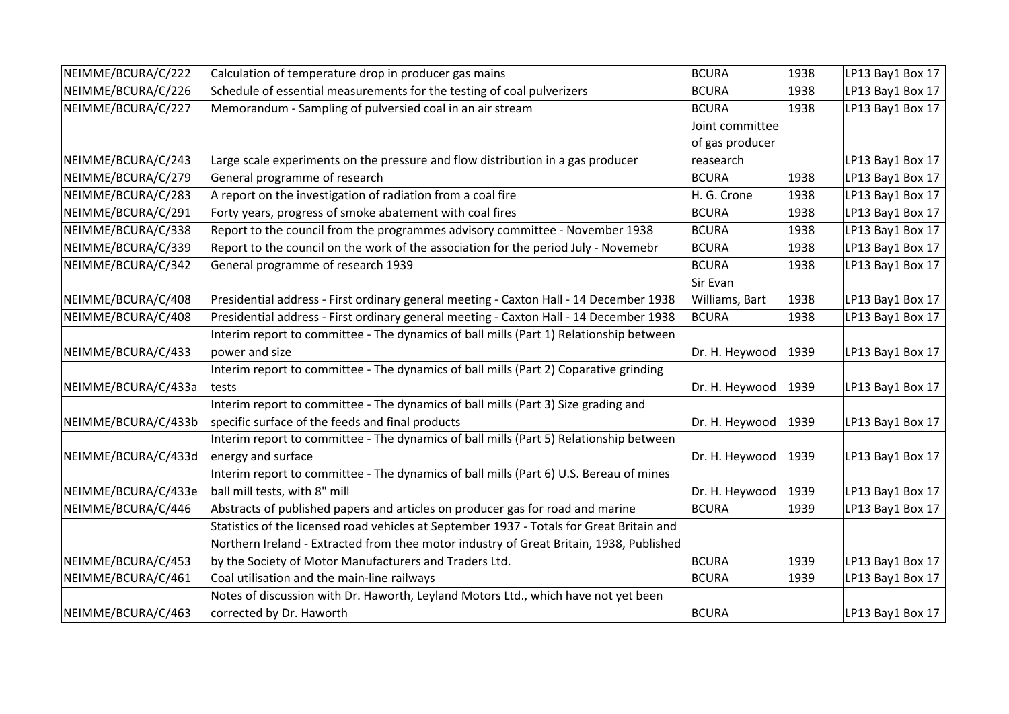| NEIMME/BCURA/C/222  | Calculation of temperature drop in producer gas mains                                     | BCURA           | 1938 | LP13 Bay1 Box 17 |
|---------------------|-------------------------------------------------------------------------------------------|-----------------|------|------------------|
| NEIMME/BCURA/C/226  | Schedule of essential measurements for the testing of coal pulverizers                    | <b>BCURA</b>    | 1938 | LP13 Bay1 Box 17 |
| NEIMME/BCURA/C/227  | Memorandum - Sampling of pulversied coal in an air stream                                 | <b>BCURA</b>    | 1938 | LP13 Bay1 Box 17 |
|                     |                                                                                           | Joint committee |      |                  |
|                     |                                                                                           | of gas producer |      |                  |
| NEIMME/BCURA/C/243  | Large scale experiments on the pressure and flow distribution in a gas producer           | reasearch       |      | LP13 Bay1 Box 17 |
| NEIMME/BCURA/C/279  | General programme of research                                                             | <b>BCURA</b>    | 1938 | LP13 Bay1 Box 17 |
| NEIMME/BCURA/C/283  | A report on the investigation of radiation from a coal fire                               | H. G. Crone     | 1938 | LP13 Bay1 Box 17 |
| NEIMME/BCURA/C/291  | Forty years, progress of smoke abatement with coal fires                                  | <b>BCURA</b>    | 1938 | LP13 Bay1 Box 17 |
| NEIMME/BCURA/C/338  | Report to the council from the programmes advisory committee - November 1938              | <b>BCURA</b>    | 1938 | LP13 Bay1 Box 17 |
| NEIMME/BCURA/C/339  | Report to the council on the work of the association for the period July - Novemebr       | <b>BCURA</b>    | 1938 | LP13 Bay1 Box 17 |
| NEIMME/BCURA/C/342  | General programme of research 1939                                                        | <b>BCURA</b>    | 1938 | LP13 Bay1 Box 17 |
|                     |                                                                                           | Sir Evan        |      |                  |
| NEIMME/BCURA/C/408  | Presidential address - First ordinary general meeting - Caxton Hall - 14 December 1938    | Williams, Bart  | 1938 | LP13 Bay1 Box 17 |
| NEIMME/BCURA/C/408  | Presidential address - First ordinary general meeting - Caxton Hall - 14 December 1938    | BCURA           | 1938 | LP13 Bay1 Box 17 |
|                     | Interim report to committee - The dynamics of ball mills (Part 1) Relationship between    |                 |      |                  |
| NEIMME/BCURA/C/433  | power and size                                                                            | Dr. H. Heywood  | 1939 | LP13 Bay1 Box 17 |
|                     | Interim report to committee - The dynamics of ball mills (Part 2) Coparative grinding     |                 |      |                  |
| NEIMME/BCURA/C/433a | tests                                                                                     | Dr. H. Heywood  | 1939 | LP13 Bay1 Box 17 |
|                     | Interim report to committee - The dynamics of ball mills (Part 3) Size grading and        |                 |      |                  |
| NEIMME/BCURA/C/433b | specific surface of the feeds and final products                                          | Dr. H. Heywood  | 1939 | LP13 Bay1 Box 17 |
|                     | Interim report to committee - The dynamics of ball mills (Part 5) Relationship between    |                 |      |                  |
| NEIMME/BCURA/C/433d | energy and surface                                                                        | Dr. H. Heywood  | 1939 | LP13 Bay1 Box 17 |
|                     | Interim report to committee - The dynamics of ball mills (Part 6) U.S. Bereau of mines    |                 |      |                  |
| NEIMME/BCURA/C/433e | ball mill tests, with 8" mill                                                             | Dr. H. Heywood  | 1939 | LP13 Bay1 Box 17 |
| NEIMME/BCURA/C/446  | Abstracts of published papers and articles on producer gas for road and marine            | <b>BCURA</b>    | 1939 | LP13 Bay1 Box 17 |
|                     | Statistics of the licensed road vehicles at September 1937 - Totals for Great Britain and |                 |      |                  |
|                     | Northern Ireland - Extracted from thee motor industry of Great Britain, 1938, Published   |                 |      |                  |
| NEIMME/BCURA/C/453  | by the Society of Motor Manufacturers and Traders Ltd.                                    | BCURA           | 1939 | LP13 Bay1 Box 17 |
| NEIMME/BCURA/C/461  | Coal utilisation and the main-line railways                                               | <b>BCURA</b>    | 1939 | LP13 Bay1 Box 17 |
|                     | Notes of discussion with Dr. Haworth, Leyland Motors Ltd., which have not yet been        |                 |      |                  |
| NEIMME/BCURA/C/463  | corrected by Dr. Haworth                                                                  | <b>BCURA</b>    |      | LP13 Bay1 Box 17 |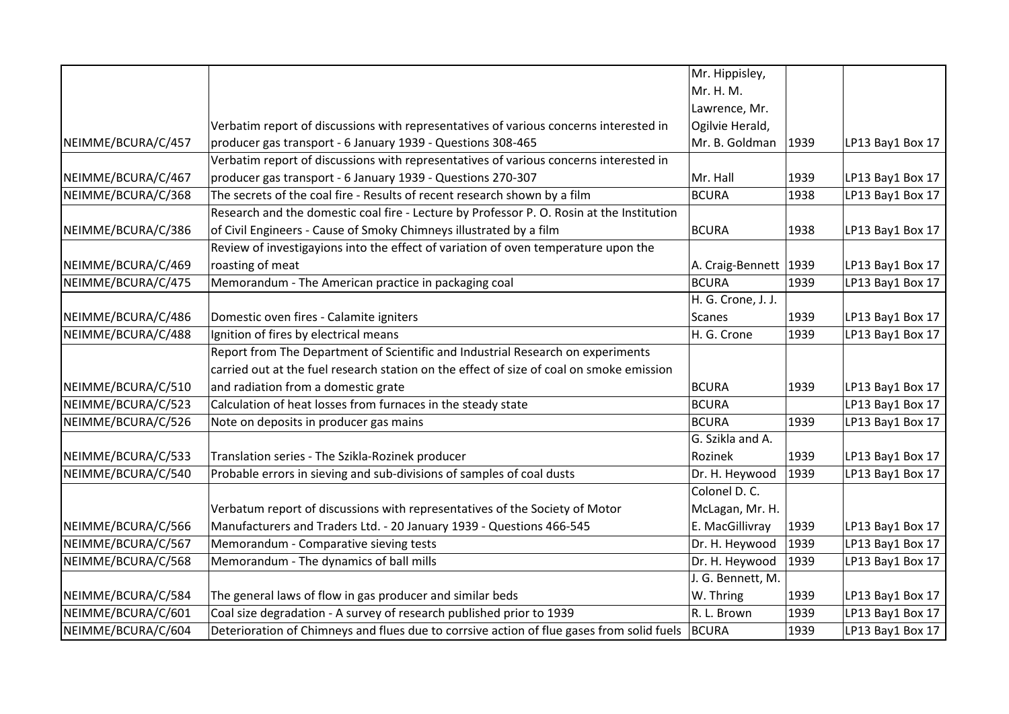|                    |                                                                                           | Mr. Hippisley,          |      |                  |
|--------------------|-------------------------------------------------------------------------------------------|-------------------------|------|------------------|
|                    |                                                                                           | Mr. H. M.               |      |                  |
|                    |                                                                                           | Lawrence, Mr.           |      |                  |
|                    | Verbatim report of discussions with representatives of various concerns interested in     | Ogilvie Herald,         |      |                  |
| NEIMME/BCURA/C/457 | producer gas transport - 6 January 1939 - Questions 308-465                               | Mr. B. Goldman          | 1939 | LP13 Bay1 Box 17 |
|                    | Verbatim report of discussions with representatives of various concerns interested in     |                         |      |                  |
| NEIMME/BCURA/C/467 | producer gas transport - 6 January 1939 - Questions 270-307                               | Mr. Hall                | 1939 | LP13 Bay1 Box 17 |
| NEIMME/BCURA/C/368 | The secrets of the coal fire - Results of recent research shown by a film                 | <b>BCURA</b>            | 1938 | LP13 Bay1 Box 17 |
|                    | Research and the domestic coal fire - Lecture by Professor P. O. Rosin at the Institution |                         |      |                  |
| NEIMME/BCURA/C/386 | of Civil Engineers - Cause of Smoky Chimneys illustrated by a film                        | <b>BCURA</b>            | 1938 | LP13 Bay1 Box 17 |
|                    | Review of investigayions into the effect of variation of oven temperature upon the        |                         |      |                  |
| NEIMME/BCURA/C/469 | roasting of meat                                                                          | A. Craig-Bennett   1939 |      | LP13 Bay1 Box 17 |
| NEIMME/BCURA/C/475 | Memorandum - The American practice in packaging coal                                      | <b>BCURA</b>            | 1939 | LP13 Bay1 Box 17 |
|                    |                                                                                           | H. G. Crone, J. J.      |      |                  |
| NEIMME/BCURA/C/486 | Domestic oven fires - Calamite igniters                                                   | <b>Scanes</b>           | 1939 | LP13 Bay1 Box 17 |
| NEIMME/BCURA/C/488 | Ignition of fires by electrical means                                                     | H. G. Crone             | 1939 | LP13 Bay1 Box 17 |
|                    | Report from The Department of Scientific and Industrial Research on experiments           |                         |      |                  |
|                    | carried out at the fuel research station on the effect of size of coal on smoke emission  |                         |      |                  |
| NEIMME/BCURA/C/510 | and radiation from a domestic grate                                                       | <b>BCURA</b>            | 1939 | LP13 Bay1 Box 17 |
| NEIMME/BCURA/C/523 | Calculation of heat losses from furnaces in the steady state                              | <b>BCURA</b>            |      | LP13 Bay1 Box 17 |
| NEIMME/BCURA/C/526 | Note on deposits in producer gas mains                                                    | <b>BCURA</b>            | 1939 | LP13 Bay1 Box 17 |
|                    |                                                                                           | G. Szikla and A.        |      |                  |
| NEIMME/BCURA/C/533 | Translation series - The Szikla-Rozinek producer                                          | Rozinek                 | 1939 | LP13 Bay1 Box 17 |
| NEIMME/BCURA/C/540 | Probable errors in sieving and sub-divisions of samples of coal dusts                     | Dr. H. Heywood          | 1939 | LP13 Bay1 Box 17 |
|                    |                                                                                           | Colonel D. C.           |      |                  |
|                    | Verbatum report of discussions with representatives of the Society of Motor               | McLagan, Mr. H.         |      |                  |
| NEIMME/BCURA/C/566 | Manufacturers and Traders Ltd. - 20 January 1939 - Questions 466-545                      | E. MacGillivray         | 1939 | LP13 Bay1 Box 17 |
| NEIMME/BCURA/C/567 | Memorandum - Comparative sieving tests                                                    | Dr. H. Heywood          | 1939 | LP13 Bay1 Box 17 |
| NEIMME/BCURA/C/568 | Memorandum - The dynamics of ball mills                                                   | Dr. H. Heywood          | 1939 | LP13 Bay1 Box 17 |
|                    |                                                                                           | J. G. Bennett, M.       |      |                  |
| NEIMME/BCURA/C/584 | The general laws of flow in gas producer and similar beds                                 | W. Thring               | 1939 | LP13 Bay1 Box 17 |
| NEIMME/BCURA/C/601 | Coal size degradation - A survey of research published prior to 1939                      | R. L. Brown             | 1939 | LP13 Bay1 Box 17 |
| NEIMME/BCURA/C/604 | Deterioration of Chimneys and flues due to corrsive action of flue gases from solid fuels | <b>BCURA</b>            | 1939 | LP13 Bay1 Box 17 |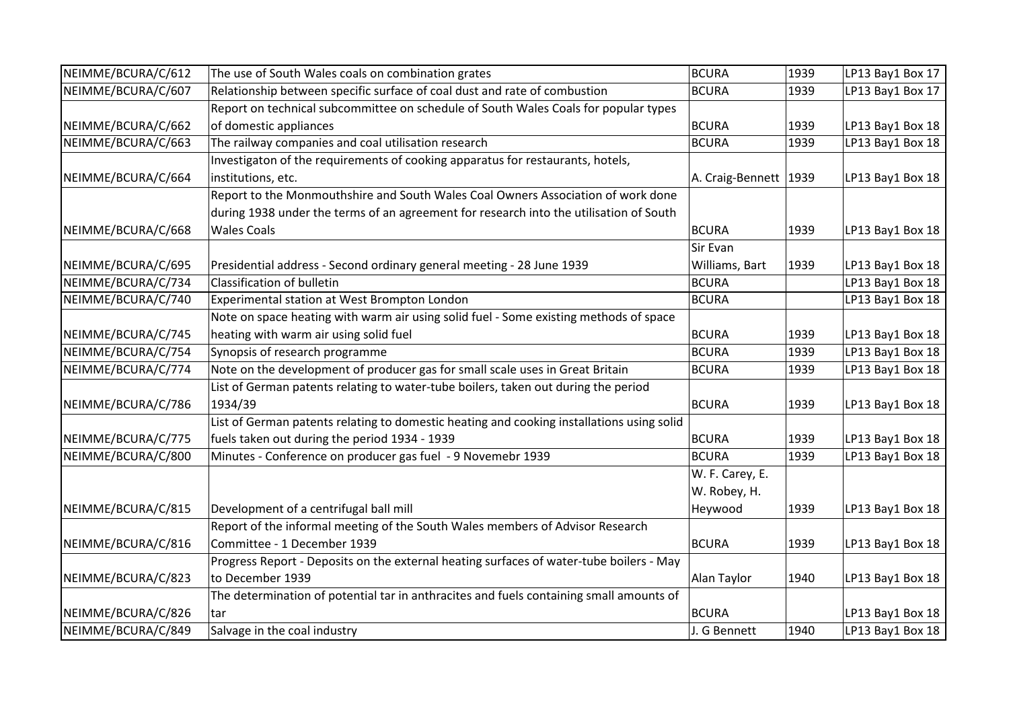| NEIMME/BCURA/C/612 | The use of South Wales coals on combination grates                                        | <b>BCURA</b>            | 1939 | LP13 Bay1 Box 17 |
|--------------------|-------------------------------------------------------------------------------------------|-------------------------|------|------------------|
| NEIMME/BCURA/C/607 | Relationship between specific surface of coal dust and rate of combustion                 | <b>BCURA</b>            | 1939 | LP13 Bay1 Box 17 |
|                    | Report on technical subcommittee on schedule of South Wales Coals for popular types       |                         |      |                  |
| NEIMME/BCURA/C/662 | of domestic appliances                                                                    | <b>BCURA</b>            | 1939 | LP13 Bay1 Box 18 |
| NEIMME/BCURA/C/663 | The railway companies and coal utilisation research                                       | <b>BCURA</b>            | 1939 | LP13 Bay1 Box 18 |
|                    | Investigaton of the requirements of cooking apparatus for restaurants, hotels,            |                         |      |                  |
| NEIMME/BCURA/C/664 | institutions, etc.                                                                        | A. Craig-Bennett   1939 |      | LP13 Bay1 Box 18 |
|                    | Report to the Monmouthshire and South Wales Coal Owners Association of work done          |                         |      |                  |
|                    | during 1938 under the terms of an agreement for research into the utilisation of South    |                         |      |                  |
| NEIMME/BCURA/C/668 | <b>Wales Coals</b>                                                                        | <b>BCURA</b>            | 1939 | LP13 Bay1 Box 18 |
|                    |                                                                                           | Sir Evan                |      |                  |
| NEIMME/BCURA/C/695 | Presidential address - Second ordinary general meeting - 28 June 1939                     | Williams, Bart          | 1939 | LP13 Bay1 Box 18 |
| NEIMME/BCURA/C/734 | Classification of bulletin                                                                | <b>BCURA</b>            |      | LP13 Bay1 Box 18 |
| NEIMME/BCURA/C/740 | Experimental station at West Brompton London                                              | <b>BCURA</b>            |      | LP13 Bay1 Box 18 |
|                    | Note on space heating with warm air using solid fuel - Some existing methods of space     |                         |      |                  |
| NEIMME/BCURA/C/745 | heating with warm air using solid fuel                                                    | <b>BCURA</b>            | 1939 | LP13 Bay1 Box 18 |
| NEIMME/BCURA/C/754 | Synopsis of research programme                                                            | <b>BCURA</b>            | 1939 | LP13 Bay1 Box 18 |
| NEIMME/BCURA/C/774 | Note on the development of producer gas for small scale uses in Great Britain             | <b>BCURA</b>            | 1939 | LP13 Bay1 Box 18 |
|                    | List of German patents relating to water-tube boilers, taken out during the period        |                         |      |                  |
| NEIMME/BCURA/C/786 | 1934/39                                                                                   | <b>BCURA</b>            | 1939 | LP13 Bay1 Box 18 |
|                    | List of German patents relating to domestic heating and cooking installations using solid |                         |      |                  |
| NEIMME/BCURA/C/775 | fuels taken out during the period 1934 - 1939                                             | <b>BCURA</b>            | 1939 | LP13 Bay1 Box 18 |
| NEIMME/BCURA/C/800 | Minutes - Conference on producer gas fuel - 9 Novemebr 1939                               | <b>BCURA</b>            | 1939 | LP13 Bay1 Box 18 |
|                    |                                                                                           | W. F. Carey, E.         |      |                  |
|                    |                                                                                           | W. Robey, H.            |      |                  |
| NEIMME/BCURA/C/815 | Development of a centrifugal ball mill                                                    | Heywood                 | 1939 | LP13 Bay1 Box 18 |
|                    | Report of the informal meeting of the South Wales members of Advisor Research             |                         |      |                  |
| NEIMME/BCURA/C/816 | Committee - 1 December 1939                                                               | <b>BCURA</b>            | 1939 | LP13 Bay1 Box 18 |
|                    | Progress Report - Deposits on the external heating surfaces of water-tube boilers - May   |                         |      |                  |
| NEIMME/BCURA/C/823 | to December 1939                                                                          | Alan Taylor             | 1940 | LP13 Bay1 Box 18 |
|                    | The determination of potential tar in anthracites and fuels containing small amounts of   |                         |      |                  |
| NEIMME/BCURA/C/826 | tar                                                                                       | <b>BCURA</b>            |      | LP13 Bay1 Box 18 |
| NEIMME/BCURA/C/849 | Salvage in the coal industry                                                              | J. G Bennett            | 1940 | LP13 Bay1 Box 18 |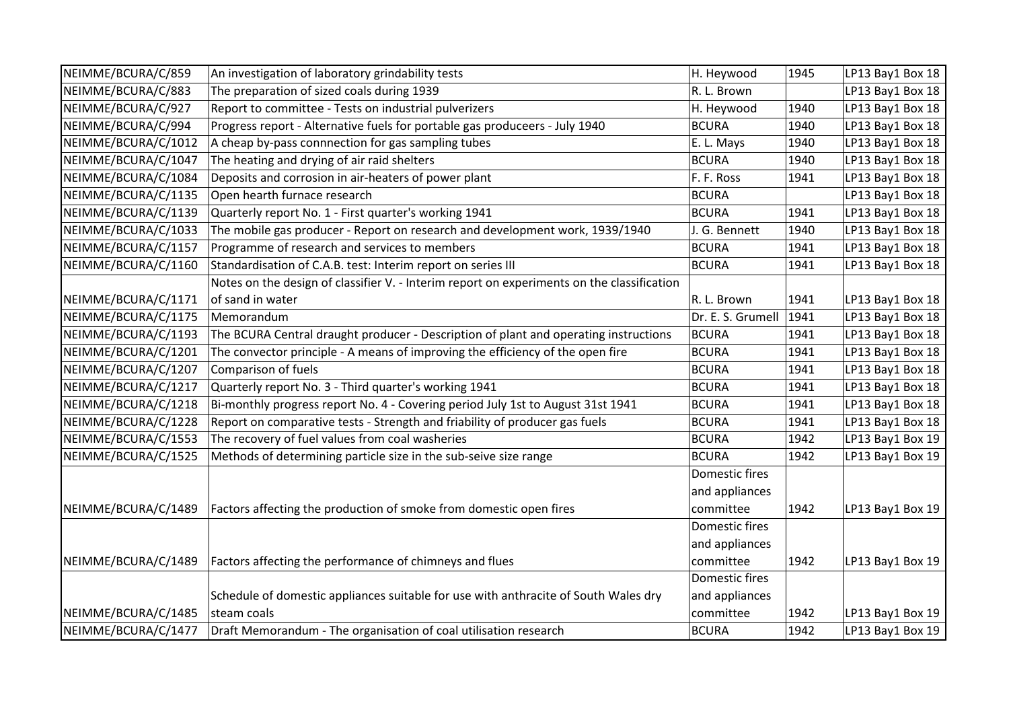| NEIMME/BCURA/C/859  | An investigation of laboratory grindability tests                                          | H. Heywood        | 1945 | LP13 Bay1 Box 18 |
|---------------------|--------------------------------------------------------------------------------------------|-------------------|------|------------------|
| NEIMME/BCURA/C/883  | The preparation of sized coals during 1939                                                 | R. L. Brown       |      | LP13 Bay1 Box 18 |
| NEIMME/BCURA/C/927  | Report to committee - Tests on industrial pulverizers                                      | H. Heywood        | 1940 | LP13 Bay1 Box 18 |
| NEIMME/BCURA/C/994  | Progress report - Alternative fuels for portable gas produceers - July 1940                | <b>BCURA</b>      | 1940 | LP13 Bay1 Box 18 |
| NEIMME/BCURA/C/1012 | A cheap by-pass connnection for gas sampling tubes                                         | E. L. Mays        | 1940 | LP13 Bay1 Box 18 |
| NEIMME/BCURA/C/1047 | The heating and drying of air raid shelters                                                | <b>BCURA</b>      | 1940 | LP13 Bay1 Box 18 |
| NEIMME/BCURA/C/1084 | Deposits and corrosion in air-heaters of power plant                                       | F. F. Ross        | 1941 | LP13 Bay1 Box 18 |
| NEIMME/BCURA/C/1135 | Open hearth furnace research                                                               | <b>BCURA</b>      |      | LP13 Bay1 Box 18 |
| NEIMME/BCURA/C/1139 | Quarterly report No. 1 - First quarter's working 1941                                      | <b>BCURA</b>      | 1941 | LP13 Bay1 Box 18 |
| NEIMME/BCURA/C/1033 | The mobile gas producer - Report on research and development work, 1939/1940               | J. G. Bennett     | 1940 | LP13 Bay1 Box 18 |
| NEIMME/BCURA/C/1157 | Programme of research and services to members                                              | <b>BCURA</b>      | 1941 | LP13 Bay1 Box 18 |
| NEIMME/BCURA/C/1160 | Standardisation of C.A.B. test: Interim report on series III                               | <b>BCURA</b>      | 1941 | LP13 Bay1 Box 18 |
|                     | Notes on the design of classifier V. - Interim report on experiments on the classification |                   |      |                  |
| NEIMME/BCURA/C/1171 | of sand in water                                                                           | R. L. Brown       | 1941 | LP13 Bay1 Box 18 |
| NEIMME/BCURA/C/1175 | Memorandum                                                                                 | Dr. E. S. Grumell | 1941 | LP13 Bay1 Box 18 |
| NEIMME/BCURA/C/1193 | The BCURA Central draught producer - Description of plant and operating instructions       | <b>BCURA</b>      | 1941 | LP13 Bay1 Box 18 |
| NEIMME/BCURA/C/1201 | The convector principle - A means of improving the efficiency of the open fire             | <b>BCURA</b>      | 1941 | LP13 Bay1 Box 18 |
| NEIMME/BCURA/C/1207 | Comparison of fuels                                                                        | <b>BCURA</b>      | 1941 | LP13 Bay1 Box 18 |
| NEIMME/BCURA/C/1217 | Quarterly report No. 3 - Third quarter's working 1941                                      | <b>BCURA</b>      | 1941 | LP13 Bay1 Box 18 |
| NEIMME/BCURA/C/1218 | Bi-monthly progress report No. 4 - Covering period July 1st to August 31st 1941            | <b>BCURA</b>      | 1941 | LP13 Bay1 Box 18 |
| NEIMME/BCURA/C/1228 | Report on comparative tests - Strength and friability of producer gas fuels                | <b>BCURA</b>      | 1941 | LP13 Bay1 Box 18 |
| NEIMME/BCURA/C/1553 | The recovery of fuel values from coal washeries                                            | <b>BCURA</b>      | 1942 | LP13 Bay1 Box 19 |
| NEIMME/BCURA/C/1525 | Methods of determining particle size in the sub-seive size range                           | <b>BCURA</b>      | 1942 | LP13 Bay1 Box 19 |
|                     |                                                                                            | Domestic fires    |      |                  |
|                     |                                                                                            | and appliances    |      |                  |
| NEIMME/BCURA/C/1489 | Factors affecting the production of smoke from domestic open fires                         | committee         | 1942 | LP13 Bay1 Box 19 |
|                     |                                                                                            | Domestic fires    |      |                  |
|                     |                                                                                            | and appliances    |      |                  |
| NEIMME/BCURA/C/1489 | Factors affecting the performance of chimneys and flues                                    | committee         | 1942 | LP13 Bay1 Box 19 |
|                     |                                                                                            | Domestic fires    |      |                  |
|                     | Schedule of domestic appliances suitable for use with anthracite of South Wales dry        | and appliances    |      |                  |
| NEIMME/BCURA/C/1485 | steam coals                                                                                | committee         | 1942 | LP13 Bay1 Box 19 |
| NEIMME/BCURA/C/1477 | Draft Memorandum - The organisation of coal utilisation research                           | <b>BCURA</b>      | 1942 | LP13 Bay1 Box 19 |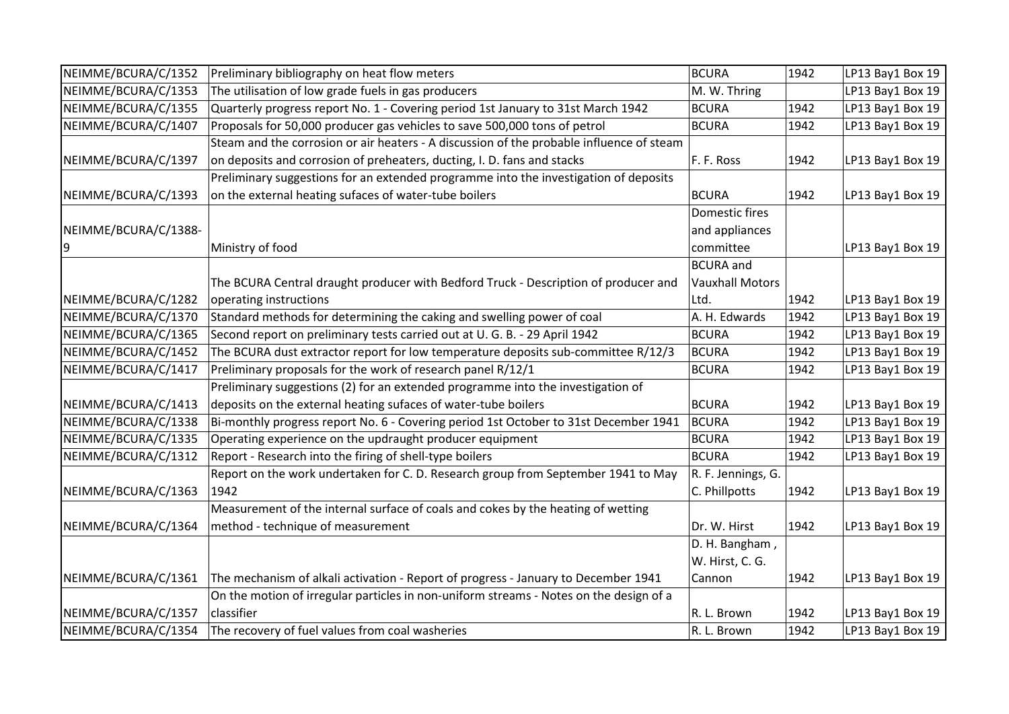| NEIMME/BCURA/C/1352  | Preliminary bibliography on heat flow meters                                             | <b>BCURA</b>           | 1942 | LP13 Bay1 Box 19 |
|----------------------|------------------------------------------------------------------------------------------|------------------------|------|------------------|
| NEIMME/BCURA/C/1353  | The utilisation of low grade fuels in gas producers                                      | M. W. Thring           |      | LP13 Bay1 Box 19 |
| NEIMME/BCURA/C/1355  | Quarterly progress report No. 1 - Covering period 1st January to 31st March 1942         | <b>BCURA</b>           | 1942 | LP13 Bay1 Box 19 |
| NEIMME/BCURA/C/1407  | Proposals for 50,000 producer gas vehicles to save 500,000 tons of petrol                | <b>BCURA</b>           | 1942 | LP13 Bay1 Box 19 |
|                      | Steam and the corrosion or air heaters - A discussion of the probable influence of steam |                        |      |                  |
| NEIMME/BCURA/C/1397  | on deposits and corrosion of preheaters, ducting, I. D. fans and stacks                  | F. F. Ross             | 1942 | LP13 Bay1 Box 19 |
|                      | Preliminary suggestions for an extended programme into the investigation of deposits     |                        |      |                  |
| NEIMME/BCURA/C/1393  | on the external heating sufaces of water-tube boilers                                    | BCURA                  | 1942 | LP13 Bay1 Box 19 |
|                      |                                                                                          | Domestic fires         |      |                  |
| NEIMME/BCURA/C/1388- |                                                                                          | and appliances         |      |                  |
| 9                    | Ministry of food                                                                         | committee              |      | LP13 Bay1 Box 19 |
|                      |                                                                                          | <b>BCURA</b> and       |      |                  |
|                      | The BCURA Central draught producer with Bedford Truck - Description of producer and      | <b>Vauxhall Motors</b> |      |                  |
| NEIMME/BCURA/C/1282  | operating instructions                                                                   | Ltd.                   | 1942 | LP13 Bay1 Box 19 |
| NEIMME/BCURA/C/1370  | Standard methods for determining the caking and swelling power of coal                   | A. H. Edwards          | 1942 | LP13 Bay1 Box 19 |
| NEIMME/BCURA/C/1365  | Second report on preliminary tests carried out at U. G. B. - 29 April 1942               | <b>BCURA</b>           | 1942 | LP13 Bay1 Box 19 |
| NEIMME/BCURA/C/1452  | The BCURA dust extractor report for low temperature deposits sub-committee R/12/3        | <b>BCURA</b>           | 1942 | LP13 Bay1 Box 19 |
| NEIMME/BCURA/C/1417  | Preliminary proposals for the work of research panel R/12/1                              | <b>BCURA</b>           | 1942 | LP13 Bay1 Box 19 |
|                      | Preliminary suggestions (2) for an extended programme into the investigation of          |                        |      |                  |
| NEIMME/BCURA/C/1413  | deposits on the external heating sufaces of water-tube boilers                           | <b>BCURA</b>           | 1942 | LP13 Bay1 Box 19 |
| NEIMME/BCURA/C/1338  | Bi-monthly progress report No. 6 - Covering period 1st October to 31st December 1941     | <b>BCURA</b>           | 1942 | LP13 Bay1 Box 19 |
| NEIMME/BCURA/C/1335  | Operating experience on the updraught producer equipment                                 | <b>BCURA</b>           | 1942 | LP13 Bay1 Box 19 |
| NEIMME/BCURA/C/1312  | Report - Research into the firing of shell-type boilers                                  | <b>BCURA</b>           | 1942 | LP13 Bay1 Box 19 |
|                      | Report on the work undertaken for C. D. Research group from September 1941 to May        | R. F. Jennings, G.     |      |                  |
| NEIMME/BCURA/C/1363  | 1942                                                                                     | C. Phillpotts          | 1942 | LP13 Bay1 Box 19 |
|                      | Measurement of the internal surface of coals and cokes by the heating of wetting         |                        |      |                  |
| NEIMME/BCURA/C/1364  | method - technique of measurement                                                        | Dr. W. Hirst           | 1942 | LP13 Bay1 Box 19 |
|                      |                                                                                          | D. H. Bangham,         |      |                  |
|                      |                                                                                          | W. Hirst, C. G.        |      |                  |
| NEIMME/BCURA/C/1361  | The mechanism of alkali activation - Report of progress - January to December 1941       | Cannon                 | 1942 | LP13 Bay1 Box 19 |
|                      | On the motion of irregular particles in non-uniform streams - Notes on the design of a   |                        |      |                  |
| NEIMME/BCURA/C/1357  | classifier                                                                               | R. L. Brown            | 1942 | LP13 Bay1 Box 19 |
| NEIMME/BCURA/C/1354  | The recovery of fuel values from coal washeries                                          | R. L. Brown            | 1942 | LP13 Bay1 Box 19 |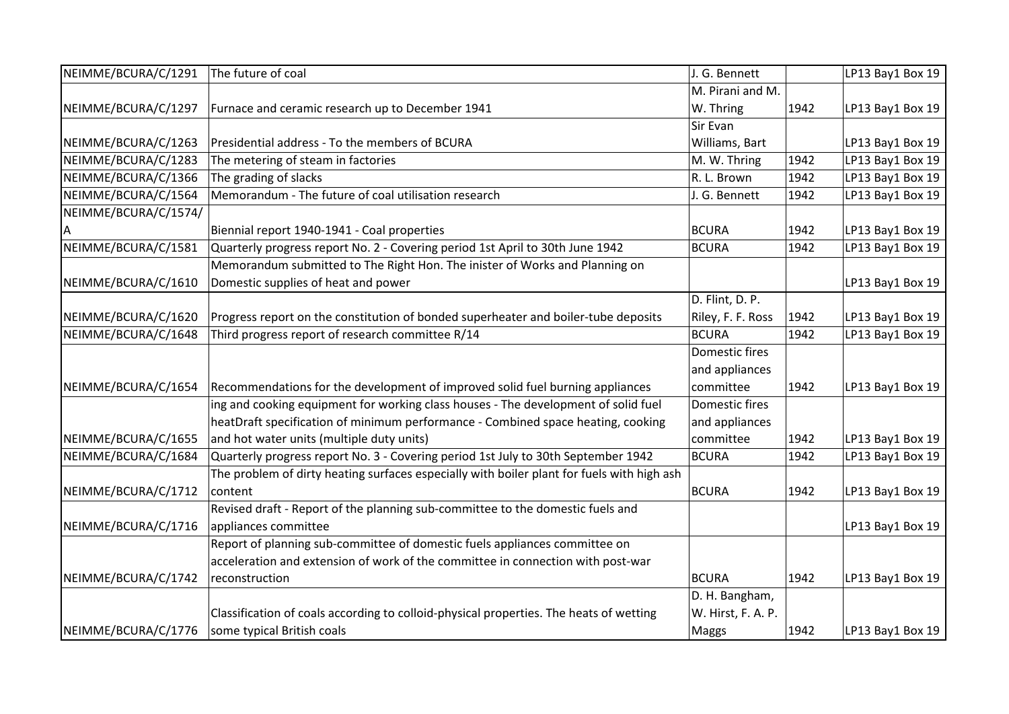| NEIMME/BCURA/C/1291  | The future of coal                                                                         | J. G. Bennett      |      | LP13 Bay1 Box 19 |
|----------------------|--------------------------------------------------------------------------------------------|--------------------|------|------------------|
|                      |                                                                                            | M. Pirani and M.   |      |                  |
| NEIMME/BCURA/C/1297  | Furnace and ceramic research up to December 1941                                           | W. Thring          | 1942 | LP13 Bay1 Box 19 |
|                      |                                                                                            | Sir Evan           |      |                  |
| NEIMME/BCURA/C/1263  | Presidential address - To the members of BCURA                                             | Williams, Bart     |      | LP13 Bay1 Box 19 |
| NEIMME/BCURA/C/1283  | The metering of steam in factories                                                         | M. W. Thring       | 1942 | LP13 Bay1 Box 19 |
| NEIMME/BCURA/C/1366  | The grading of slacks                                                                      | R. L. Brown        | 1942 | LP13 Bay1 Box 19 |
| NEIMME/BCURA/C/1564  | Memorandum - The future of coal utilisation research                                       | J. G. Bennett      | 1942 | LP13 Bay1 Box 19 |
| NEIMME/BCURA/C/1574/ |                                                                                            |                    |      |                  |
|                      | Biennial report 1940-1941 - Coal properties                                                | <b>BCURA</b>       | 1942 | LP13 Bay1 Box 19 |
| NEIMME/BCURA/C/1581  | Quarterly progress report No. 2 - Covering period 1st April to 30th June 1942              | <b>BCURA</b>       | 1942 | LP13 Bay1 Box 19 |
|                      | Memorandum submitted to The Right Hon. The inister of Works and Planning on                |                    |      |                  |
| NEIMME/BCURA/C/1610  | Domestic supplies of heat and power                                                        |                    |      | LP13 Bay1 Box 19 |
|                      |                                                                                            | D. Flint, D. P.    |      |                  |
| NEIMME/BCURA/C/1620  | Progress report on the constitution of bonded superheater and boiler-tube deposits         | Riley, F. F. Ross  | 1942 | LP13 Bay1 Box 19 |
| NEIMME/BCURA/C/1648  | Third progress report of research committee R/14                                           | <b>BCURA</b>       | 1942 | LP13 Bay1 Box 19 |
|                      |                                                                                            | Domestic fires     |      |                  |
|                      |                                                                                            | and appliances     |      |                  |
| NEIMME/BCURA/C/1654  | Recommendations for the development of improved solid fuel burning appliances              | committee          | 1942 | LP13 Bay1 Box 19 |
|                      | ing and cooking equipment for working class houses - The development of solid fuel         | Domestic fires     |      |                  |
|                      | heatDraft specification of minimum performance - Combined space heating, cooking           | and appliances     |      |                  |
| NEIMME/BCURA/C/1655  | and hot water units (multiple duty units)                                                  | committee          | 1942 | LP13 Bay1 Box 19 |
| NEIMME/BCURA/C/1684  | Quarterly progress report No. 3 - Covering period 1st July to 30th September 1942          | <b>BCURA</b>       | 1942 | LP13 Bay1 Box 19 |
|                      | The problem of dirty heating surfaces especially with boiler plant for fuels with high ash |                    |      |                  |
| NEIMME/BCURA/C/1712  | content                                                                                    | <b>BCURA</b>       | 1942 | LP13 Bay1 Box 19 |
|                      | Revised draft - Report of the planning sub-committee to the domestic fuels and             |                    |      |                  |
| NEIMME/BCURA/C/1716  | appliances committee                                                                       |                    |      | LP13 Bay1 Box 19 |
|                      | Report of planning sub-committee of domestic fuels appliances committee on                 |                    |      |                  |
|                      | acceleration and extension of work of the committee in connection with post-war            |                    |      |                  |
| NEIMME/BCURA/C/1742  | reconstruction                                                                             | <b>BCURA</b>       | 1942 | LP13 Bay1 Box 19 |
|                      |                                                                                            | D. H. Bangham,     |      |                  |
|                      | Classification of coals according to colloid-physical properties. The heats of wetting     | W. Hirst, F. A. P. |      |                  |
| NEIMME/BCURA/C/1776  | some typical British coals                                                                 | Maggs              | 1942 | LP13 Bay1 Box 19 |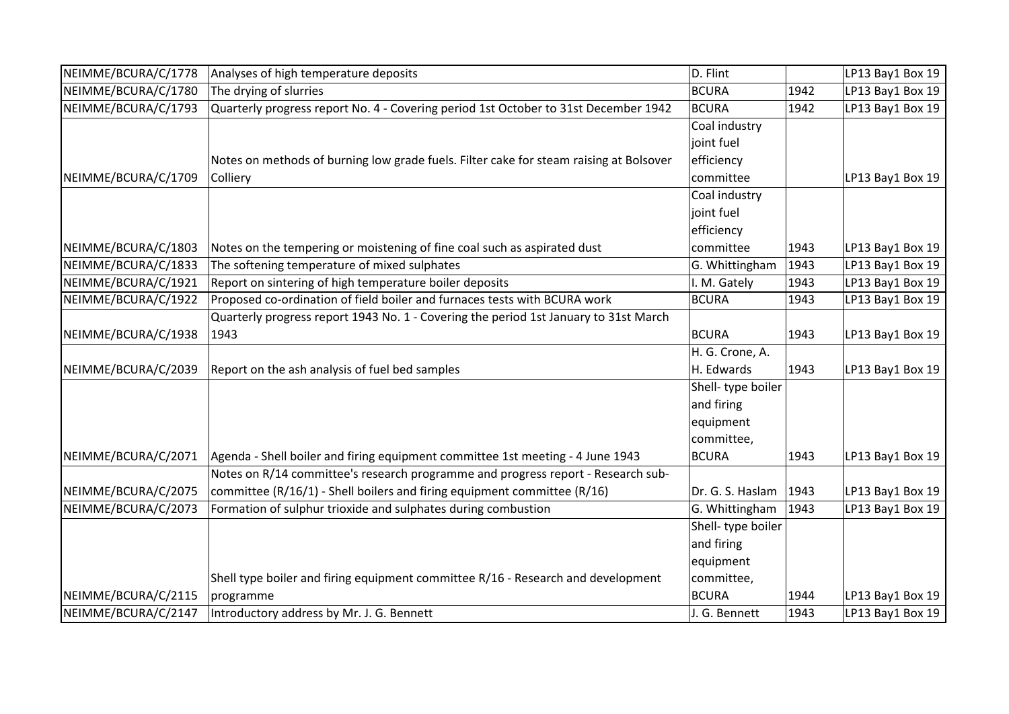| NEIMME/BCURA/C/1778 | Analyses of high temperature deposits                                                  | D. Flint          |      | LP13 Bay1 Box 19 |
|---------------------|----------------------------------------------------------------------------------------|-------------------|------|------------------|
| NEIMME/BCURA/C/1780 | The drying of slurries                                                                 | <b>BCURA</b>      | 1942 | LP13 Bay1 Box 19 |
| NEIMME/BCURA/C/1793 | Quarterly progress report No. 4 - Covering period 1st October to 31st December 1942    | <b>BCURA</b>      | 1942 | LP13 Bay1 Box 19 |
|                     |                                                                                        | Coal industry     |      |                  |
|                     |                                                                                        | joint fuel        |      |                  |
|                     | Notes on methods of burning low grade fuels. Filter cake for steam raising at Bolsover | efficiency        |      |                  |
| NEIMME/BCURA/C/1709 | Colliery                                                                               | committee         |      | LP13 Bay1 Box 19 |
|                     |                                                                                        | Coal industry     |      |                  |
|                     |                                                                                        | joint fuel        |      |                  |
|                     |                                                                                        | efficiency        |      |                  |
| NEIMME/BCURA/C/1803 | Notes on the tempering or moistening of fine coal such as aspirated dust               | committee         | 1943 | LP13 Bay1 Box 19 |
| NEIMME/BCURA/C/1833 | The softening temperature of mixed sulphates                                           | G. Whittingham    | 1943 | LP13 Bay1 Box 19 |
| NEIMME/BCURA/C/1921 | Report on sintering of high temperature boiler deposits                                | I. M. Gately      | 1943 | LP13 Bay1 Box 19 |
| NEIMME/BCURA/C/1922 | Proposed co-ordination of field boiler and furnaces tests with BCURA work              | <b>BCURA</b>      | 1943 | LP13 Bay1 Box 19 |
|                     | Quarterly progress report 1943 No. 1 - Covering the period 1st January to 31st March   |                   |      |                  |
| NEIMME/BCURA/C/1938 | 1943                                                                                   | <b>BCURA</b>      | 1943 | LP13 Bay1 Box 19 |
|                     |                                                                                        | H. G. Crone, A.   |      |                  |
| NEIMME/BCURA/C/2039 | Report on the ash analysis of fuel bed samples                                         | H. Edwards        | 1943 | LP13 Bay1 Box 19 |
|                     |                                                                                        | Shell-type boiler |      |                  |
|                     |                                                                                        | and firing        |      |                  |
|                     |                                                                                        | equipment         |      |                  |
|                     |                                                                                        | committee,        |      |                  |
| NEIMME/BCURA/C/2071 | Agenda - Shell boiler and firing equipment committee 1st meeting - 4 June 1943         | <b>BCURA</b>      | 1943 | LP13 Bay1 Box 19 |
|                     | Notes on R/14 committee's research programme and progress report - Research sub-       |                   |      |                  |
| NEIMME/BCURA/C/2075 | committee (R/16/1) - Shell boilers and firing equipment committee (R/16)               | Dr. G. S. Haslam  | 1943 | LP13 Bay1 Box 19 |
| NEIMME/BCURA/C/2073 | Formation of sulphur trioxide and sulphates during combustion                          | G. Whittingham    | 1943 | LP13 Bay1 Box 19 |
|                     |                                                                                        | Shell-type boiler |      |                  |
|                     |                                                                                        | and firing        |      |                  |
|                     |                                                                                        | equipment         |      |                  |
|                     | Shell type boiler and firing equipment committee R/16 - Research and development       | committee,        |      |                  |
| NEIMME/BCURA/C/2115 | programme                                                                              | <b>BCURA</b>      | 1944 | LP13 Bay1 Box 19 |
| NEIMME/BCURA/C/2147 | Introductory address by Mr. J. G. Bennett                                              | J. G. Bennett     | 1943 | LP13 Bay1 Box 19 |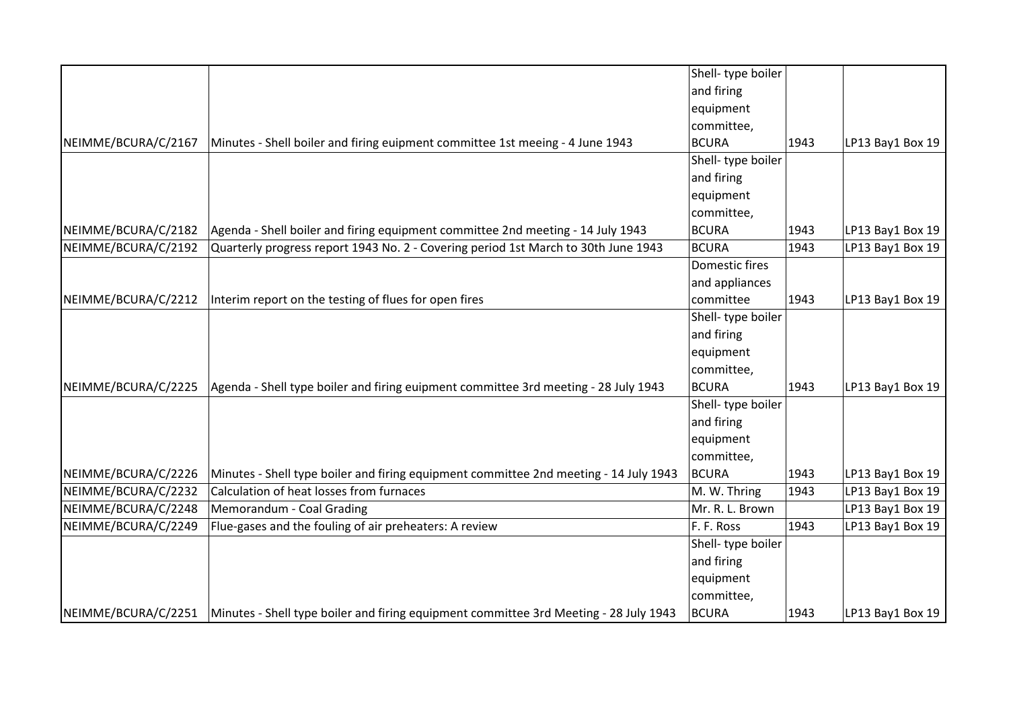|                     |                                                                                                             | Shell- type boiler         |      |                  |
|---------------------|-------------------------------------------------------------------------------------------------------------|----------------------------|------|------------------|
|                     |                                                                                                             | and firing                 |      |                  |
|                     |                                                                                                             |                            |      |                  |
|                     |                                                                                                             | equipment                  |      |                  |
|                     |                                                                                                             | committee,<br><b>BCURA</b> |      |                  |
| NEIMME/BCURA/C/2167 | Minutes - Shell boiler and firing euipment committee 1st meeing - 4 June 1943                               |                            | 1943 | LP13 Bay1 Box 19 |
|                     |                                                                                                             | Shell-type boiler          |      |                  |
|                     |                                                                                                             | and firing                 |      |                  |
|                     |                                                                                                             | equipment                  |      |                  |
|                     |                                                                                                             | committee,                 |      |                  |
| NEIMME/BCURA/C/2182 | Agenda - Shell boiler and firing equipment committee 2nd meeting - 14 July 1943                             | <b>BCURA</b>               | 1943 | LP13 Bay1 Box 19 |
| NEIMME/BCURA/C/2192 | Quarterly progress report 1943 No. 2 - Covering period 1st March to 30th June 1943                          | <b>BCURA</b>               | 1943 | LP13 Bay1 Box 19 |
|                     |                                                                                                             | Domestic fires             |      |                  |
|                     |                                                                                                             | and appliances             |      |                  |
| NEIMME/BCURA/C/2212 | Interim report on the testing of flues for open fires                                                       | committee                  | 1943 | LP13 Bay1 Box 19 |
|                     |                                                                                                             | Shell- type boiler         |      |                  |
|                     |                                                                                                             | and firing                 |      |                  |
|                     |                                                                                                             | equipment                  |      |                  |
|                     |                                                                                                             | committee,                 |      |                  |
| NEIMME/BCURA/C/2225 | Agenda - Shell type boiler and firing euipment committee 3rd meeting - 28 July 1943                         | BCURA                      | 1943 | LP13 Bay1 Box 19 |
|                     |                                                                                                             | Shell- type boiler         |      |                  |
|                     |                                                                                                             | and firing                 |      |                  |
|                     |                                                                                                             | equipment                  |      |                  |
|                     |                                                                                                             | committee,                 |      |                  |
| NEIMME/BCURA/C/2226 | Minutes - Shell type boiler and firing equipment committee 2nd meeting - 14 July 1943                       | <b>BCURA</b>               | 1943 | LP13 Bay1 Box 19 |
| NEIMME/BCURA/C/2232 | Calculation of heat losses from furnaces                                                                    | M. W. Thring               | 1943 | LP13 Bay1 Box 19 |
| NEIMME/BCURA/C/2248 | Memorandum - Coal Grading                                                                                   | Mr. R. L. Brown            |      | LP13 Bay1 Box 19 |
| NEIMME/BCURA/C/2249 | Flue-gases and the fouling of air preheaters: A review                                                      | F. F. Ross                 | 1943 | LP13 Bay1 Box 19 |
|                     |                                                                                                             | Shell- type boiler         |      |                  |
|                     |                                                                                                             | and firing                 |      |                  |
|                     |                                                                                                             | equipment                  |      |                  |
|                     |                                                                                                             | committee,                 |      |                  |
|                     | NEIMME/BCURA/C/2251   Minutes - Shell type boiler and firing equipment committee 3rd Meeting - 28 July 1943 | BCURA                      | 1943 | LP13 Bay1 Box 19 |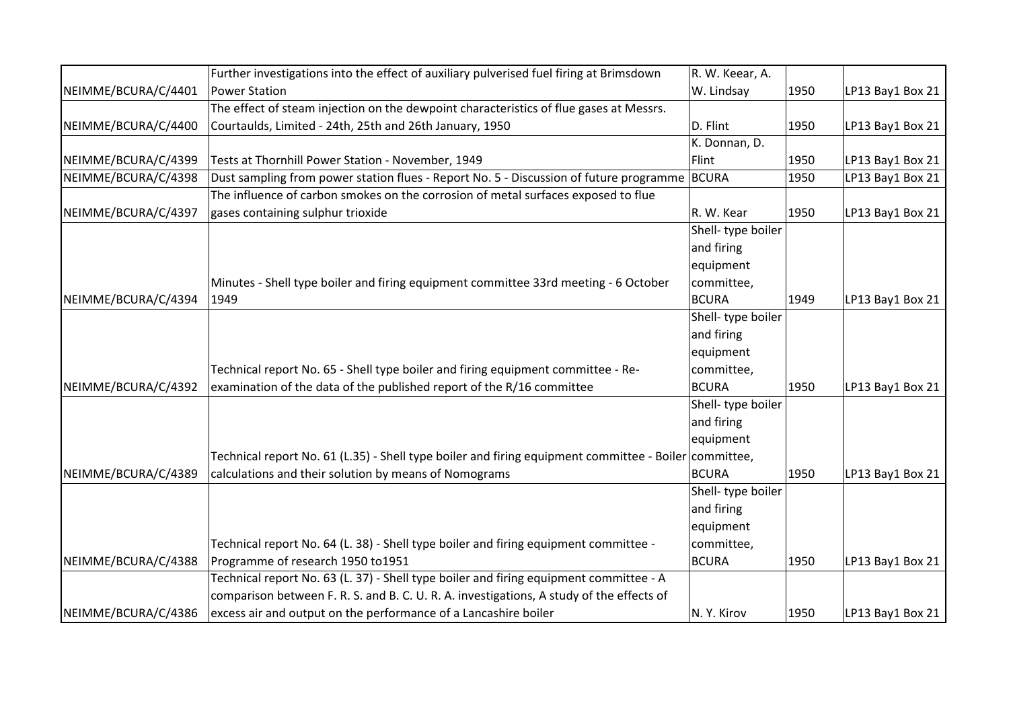|                     | Further investigations into the effect of auxiliary pulverised fuel firing at Brimsdown               | R. W. Keear, A.    |      |                  |
|---------------------|-------------------------------------------------------------------------------------------------------|--------------------|------|------------------|
| NEIMME/BCURA/C/4401 | <b>Power Station</b>                                                                                  | W. Lindsay         | 1950 | LP13 Bay1 Box 21 |
|                     | The effect of steam injection on the dewpoint characteristics of flue gases at Messrs.                |                    |      |                  |
| NEIMME/BCURA/C/4400 | Courtaulds, Limited - 24th, 25th and 26th January, 1950                                               | D. Flint           | 1950 | LP13 Bay1 Box 21 |
|                     |                                                                                                       | K. Donnan, D.      |      |                  |
| NEIMME/BCURA/C/4399 | Tests at Thornhill Power Station - November, 1949                                                     | Flint              | 1950 | LP13 Bay1 Box 21 |
| NEIMME/BCURA/C/4398 | Dust sampling from power station flues - Report No. 5 - Discussion of future programme                | <b>BCURA</b>       | 1950 | LP13 Bay1 Box 21 |
|                     | The influence of carbon smokes on the corrosion of metal surfaces exposed to flue                     |                    |      |                  |
| NEIMME/BCURA/C/4397 | gases containing sulphur trioxide                                                                     | R. W. Kear         | 1950 | LP13 Bay1 Box 21 |
|                     |                                                                                                       | Shell-type boiler  |      |                  |
|                     |                                                                                                       | and firing         |      |                  |
|                     |                                                                                                       | equipment          |      |                  |
|                     | Minutes - Shell type boiler and firing equipment committee 33rd meeting - 6 October                   | committee,         |      |                  |
| NEIMME/BCURA/C/4394 | 1949                                                                                                  | <b>BCURA</b>       | 1949 | LP13 Bay1 Box 21 |
|                     |                                                                                                       | Shell- type boiler |      |                  |
|                     |                                                                                                       | and firing         |      |                  |
|                     |                                                                                                       | equipment          |      |                  |
|                     | Technical report No. 65 - Shell type boiler and firing equipment committee - Re-                      | committee,         |      |                  |
| NEIMME/BCURA/C/4392 | examination of the data of the published report of the R/16 committee                                 | <b>BCURA</b>       | 1950 | LP13 Bay1 Box 21 |
|                     |                                                                                                       | Shell- type boiler |      |                  |
|                     |                                                                                                       | and firing         |      |                  |
|                     |                                                                                                       | equipment          |      |                  |
|                     | Technical report No. 61 (L.35) - Shell type boiler and firing equipment committee - Boiler committee, |                    |      |                  |
| NEIMME/BCURA/C/4389 | calculations and their solution by means of Nomograms                                                 | <b>BCURA</b>       | 1950 | LP13 Bay1 Box 21 |
|                     |                                                                                                       | Shell-type boiler  |      |                  |
|                     |                                                                                                       | and firing         |      |                  |
|                     |                                                                                                       | equipment          |      |                  |
|                     | Technical report No. 64 (L. 38) - Shell type boiler and firing equipment committee -                  | committee,         |      |                  |
| NEIMME/BCURA/C/4388 | Programme of research 1950 to1951                                                                     | <b>BCURA</b>       | 1950 | LP13 Bay1 Box 21 |
|                     | Technical report No. 63 (L. 37) - Shell type boiler and firing equipment committee - A                |                    |      |                  |
|                     | comparison between F. R. S. and B. C. U. R. A. investigations, A study of the effects of              |                    |      |                  |
| NEIMME/BCURA/C/4386 | excess air and output on the performance of a Lancashire boiler                                       | N.Y. Kirov         | 1950 | LP13 Bay1 Box 21 |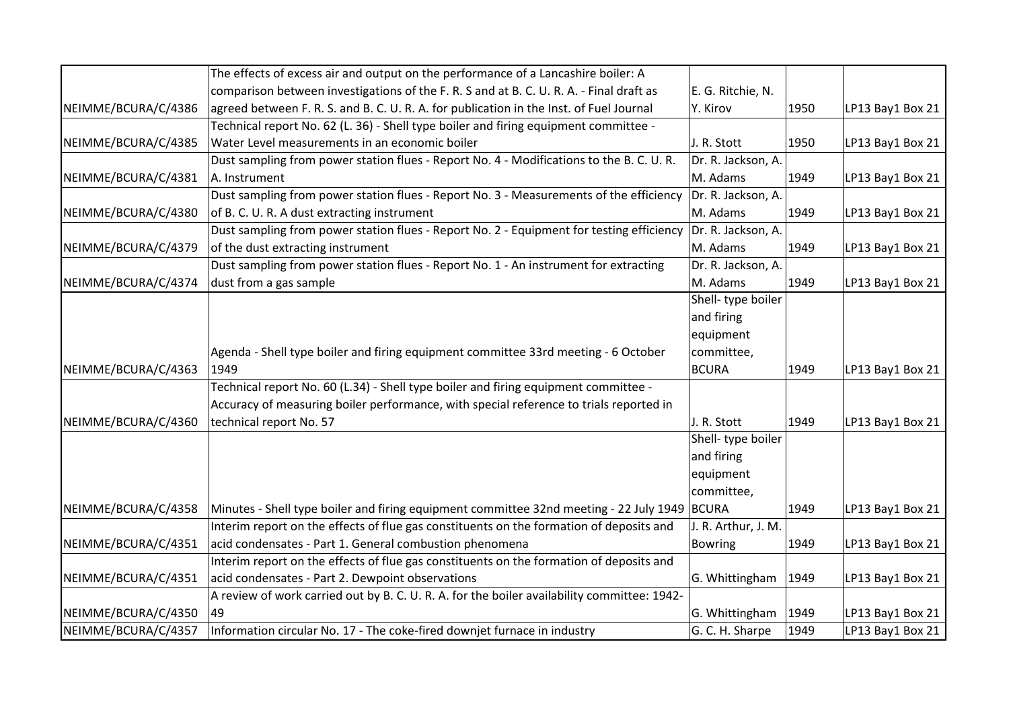|                     | The effects of excess air and output on the performance of a Lancashire boiler: A            |                     |      |                  |
|---------------------|----------------------------------------------------------------------------------------------|---------------------|------|------------------|
|                     | comparison between investigations of the F. R. S and at B. C. U. R. A. - Final draft as      | E. G. Ritchie, N.   |      |                  |
| NEIMME/BCURA/C/4386 | agreed between F. R. S. and B. C. U. R. A. for publication in the Inst. of Fuel Journal      | Y. Kirov            | 1950 | LP13 Bay1 Box 21 |
|                     | Technical report No. 62 (L. 36) - Shell type boiler and firing equipment committee -         |                     |      |                  |
| NEIMME/BCURA/C/4385 | Water Level measurements in an economic boiler                                               | J. R. Stott         | 1950 | LP13 Bay1 Box 21 |
|                     | Dust sampling from power station flues - Report No. 4 - Modifications to the B. C. U. R.     | Dr. R. Jackson, A.  |      |                  |
| NEIMME/BCURA/C/4381 | A. Instrument                                                                                | M. Adams            | 1949 | LP13 Bay1 Box 21 |
|                     | Dust sampling from power station flues - Report No. 3 - Measurements of the efficiency       | Dr. R. Jackson, A.  |      |                  |
| NEIMME/BCURA/C/4380 | of B. C. U. R. A dust extracting instrument                                                  | M. Adams            | 1949 | LP13 Bay1 Box 21 |
|                     | Dust sampling from power station flues - Report No. 2 - Equipment for testing efficiency     | Dr. R. Jackson, A.  |      |                  |
| NEIMME/BCURA/C/4379 | of the dust extracting instrument                                                            | M. Adams            | 1949 | LP13 Bay1 Box 21 |
|                     | Dust sampling from power station flues - Report No. 1 - An instrument for extracting         | Dr. R. Jackson, A.  |      |                  |
| NEIMME/BCURA/C/4374 | dust from a gas sample                                                                       | M. Adams            | 1949 | LP13 Bay1 Box 21 |
|                     |                                                                                              | Shell-type boiler   |      |                  |
|                     |                                                                                              | and firing          |      |                  |
|                     |                                                                                              | equipment           |      |                  |
|                     | Agenda - Shell type boiler and firing equipment committee 33rd meeting - 6 October           | committee,          |      |                  |
| NEIMME/BCURA/C/4363 | 1949                                                                                         | <b>BCURA</b>        | 1949 | LP13 Bay1 Box 21 |
|                     | Technical report No. 60 (L.34) - Shell type boiler and firing equipment committee -          |                     |      |                  |
|                     | Accuracy of measuring boiler performance, with special reference to trials reported in       |                     |      |                  |
| NEIMME/BCURA/C/4360 | technical report No. 57                                                                      | J. R. Stott         | 1949 | LP13 Bay1 Box 21 |
|                     |                                                                                              | Shell-type boiler   |      |                  |
|                     |                                                                                              | and firing          |      |                  |
|                     |                                                                                              | equipment           |      |                  |
|                     |                                                                                              | committee,          |      |                  |
| NEIMME/BCURA/C/4358 | Minutes - Shell type boiler and firing equipment committee 32nd meeting - 22 July 1949 BCURA |                     | 1949 | LP13 Bay1 Box 21 |
|                     | Interim report on the effects of flue gas constituents on the formation of deposits and      | J. R. Arthur, J. M. |      |                  |
| NEIMME/BCURA/C/4351 | acid condensates - Part 1. General combustion phenomena                                      | Bowring             | 1949 | LP13 Bay1 Box 21 |
|                     | Interim report on the effects of flue gas constituents on the formation of deposits and      |                     |      |                  |
| NEIMME/BCURA/C/4351 | acid condensates - Part 2. Dewpoint observations                                             | G. Whittingham      | 1949 | LP13 Bay1 Box 21 |
|                     | A review of work carried out by B. C. U. R. A. for the boiler availability committee: 1942-  |                     |      |                  |
| NEIMME/BCURA/C/4350 | 49                                                                                           | G. Whittingham      | 1949 | LP13 Bay1 Box 21 |
| NEIMME/BCURA/C/4357 | Information circular No. 17 - The coke-fired downjet furnace in industry                     | G. C. H. Sharpe     | 1949 | LP13 Bay1 Box 21 |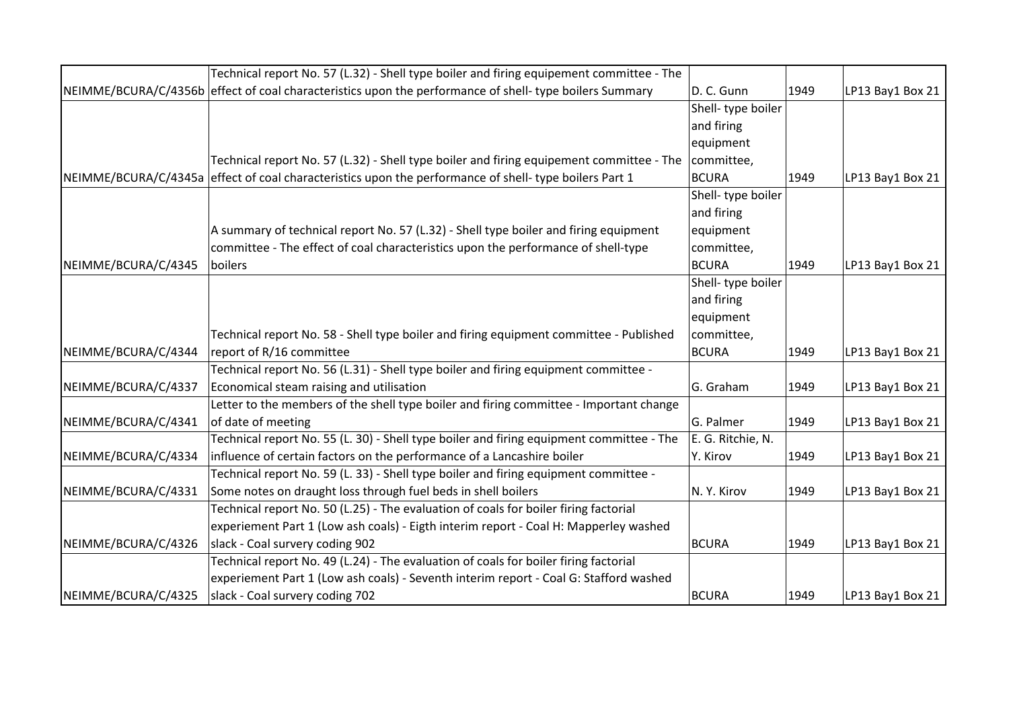|                     | Technical report No. 57 (L.32) - Shell type boiler and firing equipement committee - The                |                   |      |                  |
|---------------------|---------------------------------------------------------------------------------------------------------|-------------------|------|------------------|
|                     | NEIMME/BCURA/C/4356b effect of coal characteristics upon the performance of shell- type boilers Summary | D. C. Gunn        | 1949 | LP13 Bay1 Box 21 |
|                     |                                                                                                         | Shell-type boiler |      |                  |
|                     |                                                                                                         | and firing        |      |                  |
|                     |                                                                                                         | equipment         |      |                  |
|                     | Technical report No. 57 (L.32) - Shell type boiler and firing equipement committee - The                | committee,        |      |                  |
|                     | NEIMME/BCURA/C/4345a effect of coal characteristics upon the performance of shell-type boilers Part 1   | <b>BCURA</b>      | 1949 | LP13 Bay1 Box 21 |
|                     |                                                                                                         | Shell-type boiler |      |                  |
|                     |                                                                                                         | and firing        |      |                  |
|                     | A summary of technical report No. 57 (L.32) - Shell type boiler and firing equipment                    | equipment         |      |                  |
|                     | committee - The effect of coal characteristics upon the performance of shell-type                       | committee,        |      |                  |
| NEIMME/BCURA/C/4345 | <b>boilers</b>                                                                                          | <b>BCURA</b>      | 1949 | LP13 Bay1 Box 21 |
|                     |                                                                                                         | Shell-type boiler |      |                  |
|                     |                                                                                                         | and firing        |      |                  |
|                     |                                                                                                         | equipment         |      |                  |
|                     | Technical report No. 58 - Shell type boiler and firing equipment committee - Published                  | committee,        |      |                  |
| NEIMME/BCURA/C/4344 | report of R/16 committee                                                                                | <b>BCURA</b>      | 1949 | LP13 Bay1 Box 21 |
|                     | Technical report No. 56 (L.31) - Shell type boiler and firing equipment committee -                     |                   |      |                  |
| NEIMME/BCURA/C/4337 | Economical steam raising and utilisation                                                                | G. Graham         | 1949 | LP13 Bay1 Box 21 |
|                     | Letter to the members of the shell type boiler and firing committee - Important change                  |                   |      |                  |
| NEIMME/BCURA/C/4341 | of date of meeting                                                                                      | G. Palmer         | 1949 | LP13 Bay1 Box 21 |
|                     | Technical report No. 55 (L. 30) - Shell type boiler and firing equipment committee - The                | E. G. Ritchie, N. |      |                  |
| NEIMME/BCURA/C/4334 | influence of certain factors on the performance of a Lancashire boiler                                  | Y. Kirov          | 1949 | LP13 Bay1 Box 21 |
|                     | Technical report No. 59 (L. 33) - Shell type boiler and firing equipment committee -                    |                   |      |                  |
| NEIMME/BCURA/C/4331 | Some notes on draught loss through fuel beds in shell boilers                                           | N.Y. Kirov        | 1949 | LP13 Bay1 Box 21 |
|                     | Technical report No. 50 (L.25) - The evaluation of coals for boiler firing factorial                    |                   |      |                  |
|                     | experiement Part 1 (Low ash coals) - Eigth interim report - Coal H: Mapperley washed                    |                   |      |                  |
| NEIMME/BCURA/C/4326 | slack - Coal survery coding 902                                                                         | <b>BCURA</b>      | 1949 | LP13 Bay1 Box 21 |
|                     | Technical report No. 49 (L.24) - The evaluation of coals for boiler firing factorial                    |                   |      |                  |
|                     | experiement Part 1 (Low ash coals) - Seventh interim report - Coal G: Stafford washed                   |                   |      |                  |
| NEIMME/BCURA/C/4325 | slack - Coal survery coding 702                                                                         | <b>BCURA</b>      | 1949 | LP13 Bay1 Box 21 |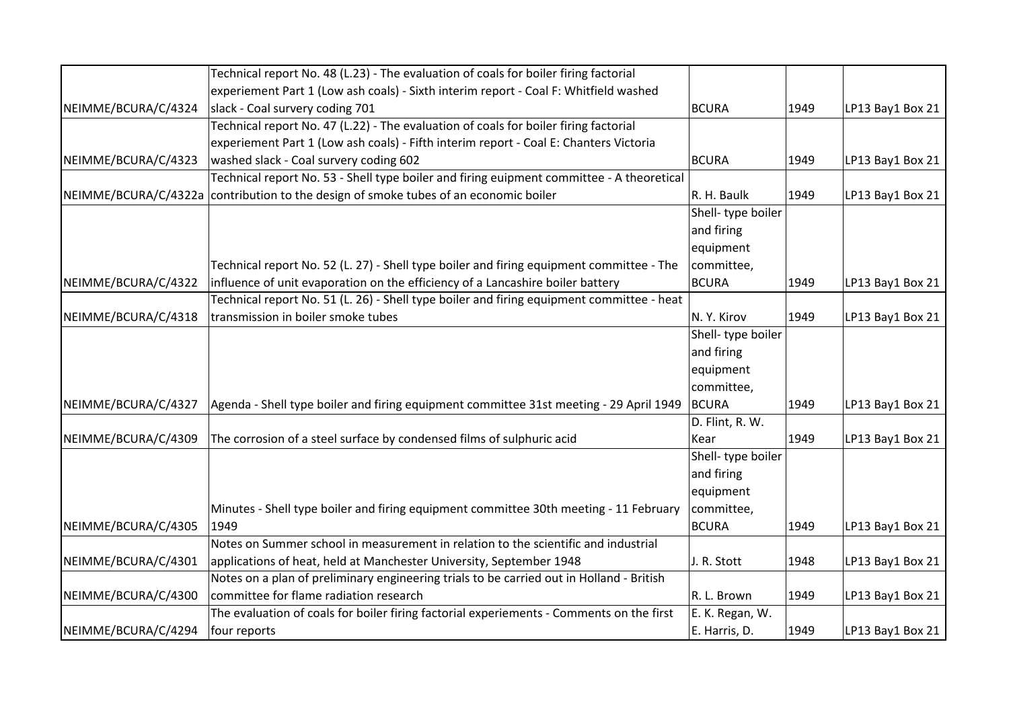|                      | Technical report No. 48 (L.23) - The evaluation of coals for boiler firing factorial      |                   |      |                  |
|----------------------|-------------------------------------------------------------------------------------------|-------------------|------|------------------|
|                      | experiement Part 1 (Low ash coals) - Sixth interim report - Coal F: Whitfield washed      |                   |      |                  |
| NEIMME/BCURA/C/4324  | slack - Coal survery coding 701                                                           | BCURA             | 1949 | LP13 Bay1 Box 21 |
|                      | Technical report No. 47 (L.22) - The evaluation of coals for boiler firing factorial      |                   |      |                  |
|                      | experiement Part 1 (Low ash coals) - Fifth interim report - Coal E: Chanters Victoria     |                   |      |                  |
| NEIMME/BCURA/C/4323  | washed slack - Coal survery coding 602                                                    | <b>BCURA</b>      | 1949 | LP13 Bay1 Box 21 |
|                      | Technical report No. 53 - Shell type boiler and firing euipment committee - A theoretical |                   |      |                  |
| NEIMME/BCURA/C/4322a | contribution to the design of smoke tubes of an economic boiler                           | R. H. Baulk       | 1949 | LP13 Bay1 Box 21 |
|                      |                                                                                           | Shell-type boiler |      |                  |
|                      |                                                                                           | and firing        |      |                  |
|                      |                                                                                           | equipment         |      |                  |
|                      | Technical report No. 52 (L. 27) - Shell type boiler and firing equipment committee - The  | committee,        |      |                  |
| NEIMME/BCURA/C/4322  | influence of unit evaporation on the efficiency of a Lancashire boiler battery            | <b>BCURA</b>      | 1949 | LP13 Bay1 Box 21 |
|                      | Technical report No. 51 (L. 26) - Shell type boiler and firing equipment committee - heat |                   |      |                  |
| NEIMME/BCURA/C/4318  | transmission in boiler smoke tubes                                                        | N.Y. Kirov        | 1949 | LP13 Bay1 Box 21 |
|                      |                                                                                           | Shell-type boiler |      |                  |
|                      |                                                                                           | and firing        |      |                  |
|                      |                                                                                           | equipment         |      |                  |
|                      |                                                                                           | committee,        |      |                  |
| NEIMME/BCURA/C/4327  | Agenda - Shell type boiler and firing equipment committee 31st meeting - 29 April 1949    | <b>BCURA</b>      | 1949 | LP13 Bay1 Box 21 |
|                      |                                                                                           | D. Flint, R. W.   |      |                  |
| NEIMME/BCURA/C/4309  | The corrosion of a steel surface by condensed films of sulphuric acid                     | Kear              | 1949 | LP13 Bay1 Box 21 |
|                      |                                                                                           | Shell-type boiler |      |                  |
|                      |                                                                                           | and firing        |      |                  |
|                      |                                                                                           | equipment         |      |                  |
|                      | Minutes - Shell type boiler and firing equipment committee 30th meeting - 11 February     | committee,        |      |                  |
| NEIMME/BCURA/C/4305  | 1949                                                                                      | <b>BCURA</b>      | 1949 | LP13 Bay1 Box 21 |
|                      | Notes on Summer school in measurement in relation to the scientific and industrial        |                   |      |                  |
| NEIMME/BCURA/C/4301  | applications of heat, held at Manchester University, September 1948                       | J. R. Stott       | 1948 | LP13 Bay1 Box 21 |
|                      | Notes on a plan of preliminary engineering trials to be carried out in Holland - British  |                   |      |                  |
| NEIMME/BCURA/C/4300  | committee for flame radiation research                                                    | R. L. Brown       | 1949 | LP13 Bay1 Box 21 |
|                      | The evaluation of coals for boiler firing factorial experiements - Comments on the first  | E. K. Regan, W.   |      |                  |
| NEIMME/BCURA/C/4294  | four reports                                                                              | E. Harris, D.     | 1949 | LP13 Bay1 Box 21 |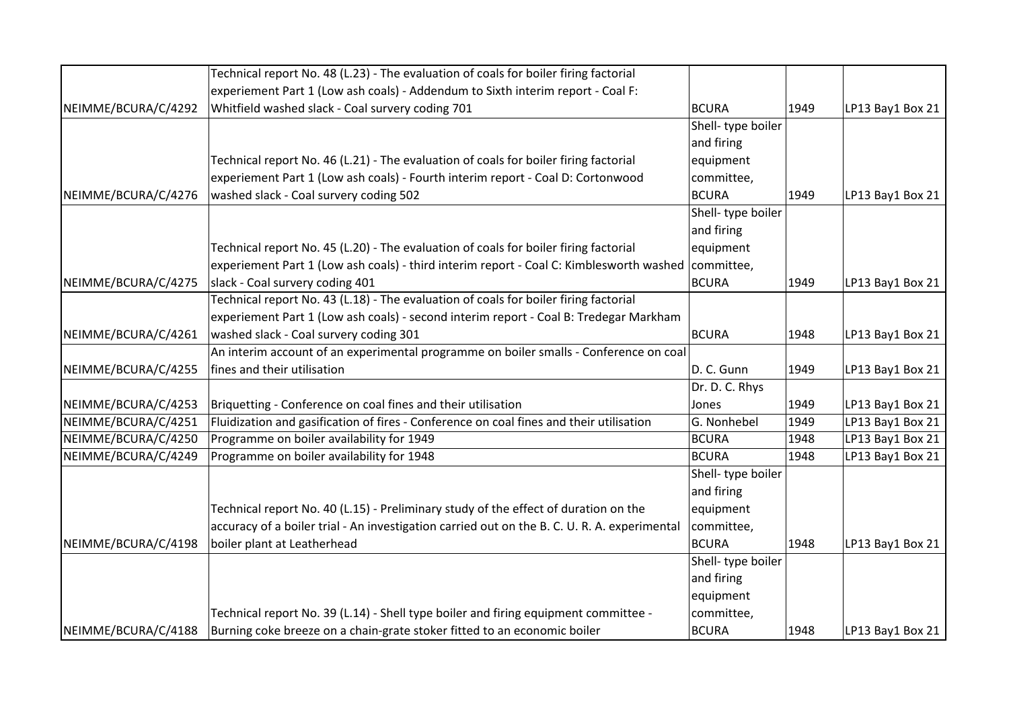|                     | Technical report No. 48 (L.23) - The evaluation of coals for boiler firing factorial               |                   |      |                  |
|---------------------|----------------------------------------------------------------------------------------------------|-------------------|------|------------------|
|                     | experiement Part 1 (Low ash coals) - Addendum to Sixth interim report - Coal F:                    |                   |      |                  |
| NEIMME/BCURA/C/4292 | Whitfield washed slack - Coal survery coding 701                                                   | <b>BCURA</b>      | 1949 | LP13 Bay1 Box 21 |
|                     |                                                                                                    | Shell-type boiler |      |                  |
|                     |                                                                                                    | and firing        |      |                  |
|                     | Technical report No. 46 (L.21) - The evaluation of coals for boiler firing factorial               | equipment         |      |                  |
|                     | experiement Part 1 (Low ash coals) - Fourth interim report - Coal D: Cortonwood                    | committee,        |      |                  |
| NEIMME/BCURA/C/4276 | washed slack - Coal survery coding 502                                                             | <b>BCURA</b>      | 1949 | LP13 Bay1 Box 21 |
|                     |                                                                                                    | Shell-type boiler |      |                  |
|                     |                                                                                                    | and firing        |      |                  |
|                     | Technical report No. 45 (L.20) - The evaluation of coals for boiler firing factorial               | equipment         |      |                  |
|                     | experiement Part 1 (Low ash coals) - third interim report - Coal C: Kimblesworth washed committee, |                   |      |                  |
| NEIMME/BCURA/C/4275 | slack - Coal survery coding 401                                                                    | BCURA             | 1949 | LP13 Bay1 Box 21 |
|                     | Technical report No. 43 (L.18) - The evaluation of coals for boiler firing factorial               |                   |      |                  |
|                     | experiement Part 1 (Low ash coals) - second interim report - Coal B: Tredegar Markham              |                   |      |                  |
| NEIMME/BCURA/C/4261 | washed slack - Coal survery coding 301                                                             | <b>BCURA</b>      | 1948 | LP13 Bay1 Box 21 |
|                     | An interim account of an experimental programme on boiler smalls - Conference on coal              |                   |      |                  |
| NEIMME/BCURA/C/4255 | fines and their utilisation                                                                        | D. C. Gunn        | 1949 | LP13 Bay1 Box 21 |
|                     |                                                                                                    | Dr. D. C. Rhys    |      |                  |
| NEIMME/BCURA/C/4253 | Briquetting - Conference on coal fines and their utilisation                                       | Jones             | 1949 | LP13 Bay1 Box 21 |
| NEIMME/BCURA/C/4251 | Fluidization and gasification of fires - Conference on coal fines and their utilisation            | G. Nonhebel       | 1949 | LP13 Bay1 Box 21 |
| NEIMME/BCURA/C/4250 | Programme on boiler availability for 1949                                                          | <b>BCURA</b>      | 1948 | LP13 Bay1 Box 21 |
| NEIMME/BCURA/C/4249 | Programme on boiler availability for 1948                                                          | <b>BCURA</b>      | 1948 | LP13 Bay1 Box 21 |
|                     |                                                                                                    | Shell-type boiler |      |                  |
|                     |                                                                                                    | and firing        |      |                  |
|                     | Technical report No. 40 (L.15) - Preliminary study of the effect of duration on the                | equipment         |      |                  |
|                     | accuracy of a boiler trial - An investigation carried out on the B. C. U. R. A. experimental       | committee,        |      |                  |
| NEIMME/BCURA/C/4198 | boiler plant at Leatherhead                                                                        | <b>BCURA</b>      | 1948 | LP13 Bay1 Box 21 |
|                     |                                                                                                    | Shell-type boiler |      |                  |
|                     |                                                                                                    | and firing        |      |                  |
|                     |                                                                                                    | equipment         |      |                  |
|                     | Technical report No. 39 (L.14) - Shell type boiler and firing equipment committee -                | committee,        |      |                  |
| NEIMME/BCURA/C/4188 | Burning coke breeze on a chain-grate stoker fitted to an economic boiler                           | <b>BCURA</b>      | 1948 | LP13 Bay1 Box 21 |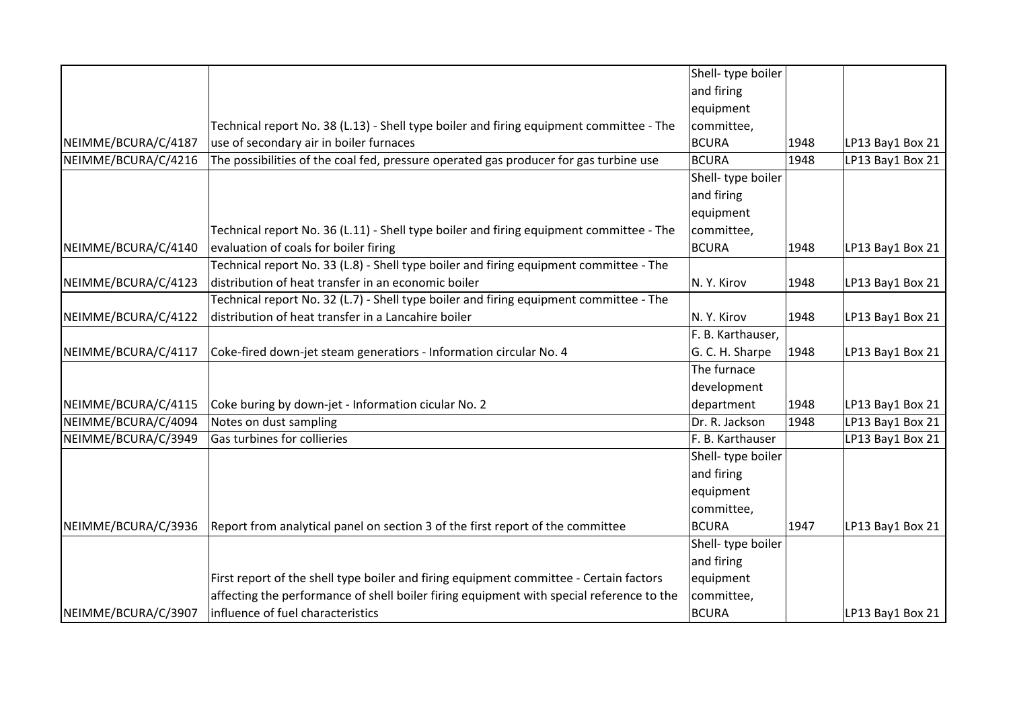|                     |                                                                                          | Shell-type boiler  |      |                  |
|---------------------|------------------------------------------------------------------------------------------|--------------------|------|------------------|
|                     |                                                                                          | and firing         |      |                  |
|                     |                                                                                          | equipment          |      |                  |
|                     | Technical report No. 38 (L.13) - Shell type boiler and firing equipment committee - The  | committee,         |      |                  |
| NEIMME/BCURA/C/4187 | use of secondary air in boiler furnaces                                                  | <b>BCURA</b>       | 1948 | LP13 Bay1 Box 21 |
| NEIMME/BCURA/C/4216 | The possibilities of the coal fed, pressure operated gas producer for gas turbine use    | <b>BCURA</b>       | 1948 | LP13 Bay1 Box 21 |
|                     |                                                                                          | Shell- type boiler |      |                  |
|                     |                                                                                          | and firing         |      |                  |
|                     |                                                                                          | equipment          |      |                  |
|                     | Technical report No. 36 (L.11) - Shell type boiler and firing equipment committee - The  | committee,         |      |                  |
| NEIMME/BCURA/C/4140 | evaluation of coals for boiler firing                                                    | <b>BCURA</b>       | 1948 | LP13 Bay1 Box 21 |
|                     | Technical report No. 33 (L.8) - Shell type boiler and firing equipment committee - The   |                    |      |                  |
| NEIMME/BCURA/C/4123 | distribution of heat transfer in an economic boiler                                      | N.Y. Kirov         | 1948 | LP13 Bay1 Box 21 |
|                     | Technical report No. 32 (L.7) - Shell type boiler and firing equipment committee - The   |                    |      |                  |
| NEIMME/BCURA/C/4122 | distribution of heat transfer in a Lancahire boiler                                      | N.Y. Kirov         | 1948 | LP13 Bay1 Box 21 |
|                     |                                                                                          | F. B. Karthauser,  |      |                  |
| NEIMME/BCURA/C/4117 | Coke-fired down-jet steam generatiors - Information circular No. 4                       | G. C. H. Sharpe    | 1948 | LP13 Bay1 Box 21 |
|                     |                                                                                          | The furnace        |      |                  |
|                     |                                                                                          | development        |      |                  |
| NEIMME/BCURA/C/4115 | Coke buring by down-jet - Information cicular No. 2                                      | department         | 1948 | LP13 Bay1 Box 21 |
| NEIMME/BCURA/C/4094 | Notes on dust sampling                                                                   | Dr. R. Jackson     | 1948 | LP13 Bay1 Box 21 |
| NEIMME/BCURA/C/3949 | Gas turbines for collieries                                                              | F. B. Karthauser   |      | LP13 Bay1 Box 21 |
|                     |                                                                                          | Shell-type boiler  |      |                  |
|                     |                                                                                          | and firing         |      |                  |
|                     |                                                                                          | equipment          |      |                  |
|                     |                                                                                          | committee,         |      |                  |
| NEIMME/BCURA/C/3936 | Report from analytical panel on section 3 of the first report of the committee           | <b>BCURA</b>       | 1947 | LP13 Bay1 Box 21 |
|                     |                                                                                          | Shell-type boiler  |      |                  |
|                     |                                                                                          | and firing         |      |                  |
|                     | First report of the shell type boiler and firing equipment committee - Certain factors   | equipment          |      |                  |
|                     | affecting the performance of shell boiler firing equipment with special reference to the | committee,         |      |                  |
| NEIMME/BCURA/C/3907 | influence of fuel characteristics                                                        | <b>BCURA</b>       |      | LP13 Bay1 Box 21 |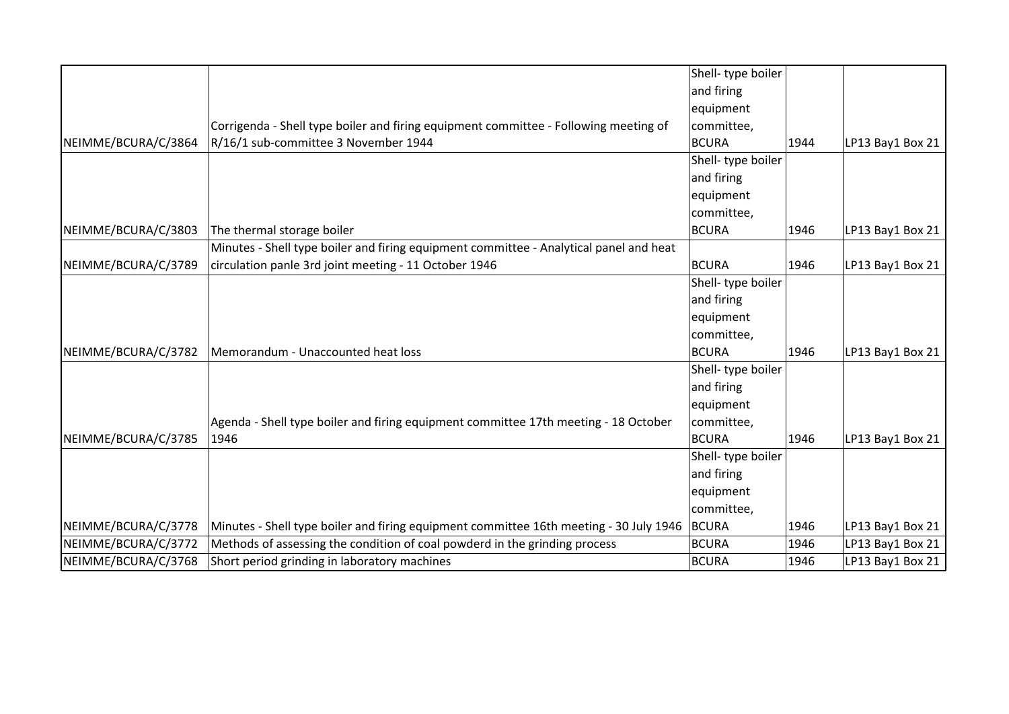|                     |                                                                                        | Shell-type boiler  |      |                  |
|---------------------|----------------------------------------------------------------------------------------|--------------------|------|------------------|
|                     |                                                                                        | and firing         |      |                  |
|                     |                                                                                        | equipment          |      |                  |
|                     | Corrigenda - Shell type boiler and firing equipment committee - Following meeting of   | committee,         |      |                  |
| NEIMME/BCURA/C/3864 | R/16/1 sub-committee 3 November 1944                                                   | BCURA              | 1944 | LP13 Bay1 Box 21 |
|                     |                                                                                        | Shell- type boiler |      |                  |
|                     |                                                                                        | and firing         |      |                  |
|                     |                                                                                        | equipment          |      |                  |
|                     |                                                                                        | committee,         |      |                  |
| NEIMME/BCURA/C/3803 | The thermal storage boiler                                                             | <b>BCURA</b>       | 1946 | LP13 Bay1 Box 21 |
|                     | Minutes - Shell type boiler and firing equipment committee - Analytical panel and heat |                    |      |                  |
| NEIMME/BCURA/C/3789 | circulation panle 3rd joint meeting - 11 October 1946                                  | BCURA              | 1946 | LP13 Bay1 Box 21 |
|                     |                                                                                        | Shell- type boiler |      |                  |
|                     |                                                                                        | and firing         |      |                  |
|                     |                                                                                        | equipment          |      |                  |
|                     |                                                                                        | committee,         |      |                  |
| NEIMME/BCURA/C/3782 | Memorandum - Unaccounted heat loss                                                     | <b>BCURA</b>       | 1946 | LP13 Bay1 Box 21 |
|                     |                                                                                        | Shell-type boiler  |      |                  |
|                     |                                                                                        | and firing         |      |                  |
|                     |                                                                                        | equipment          |      |                  |
|                     | Agenda - Shell type boiler and firing equipment committee 17th meeting - 18 October    | committee,         |      |                  |
| NEIMME/BCURA/C/3785 | 1946                                                                                   | <b>BCURA</b>       | 1946 | LP13 Bay1 Box 21 |
|                     |                                                                                        | Shell- type boiler |      |                  |
|                     |                                                                                        | and firing         |      |                  |
|                     |                                                                                        | equipment          |      |                  |
|                     |                                                                                        | committee,         |      |                  |
| NEIMME/BCURA/C/3778 | Minutes - Shell type boiler and firing equipment committee 16th meeting - 30 July 1946 | <b>BCURA</b>       | 1946 | LP13 Bay1 Box 21 |
| NEIMME/BCURA/C/3772 | Methods of assessing the condition of coal powderd in the grinding process             | <b>BCURA</b>       | 1946 | LP13 Bay1 Box 21 |
| NEIMME/BCURA/C/3768 | Short period grinding in laboratory machines                                           | <b>BCURA</b>       | 1946 | LP13 Bay1 Box 21 |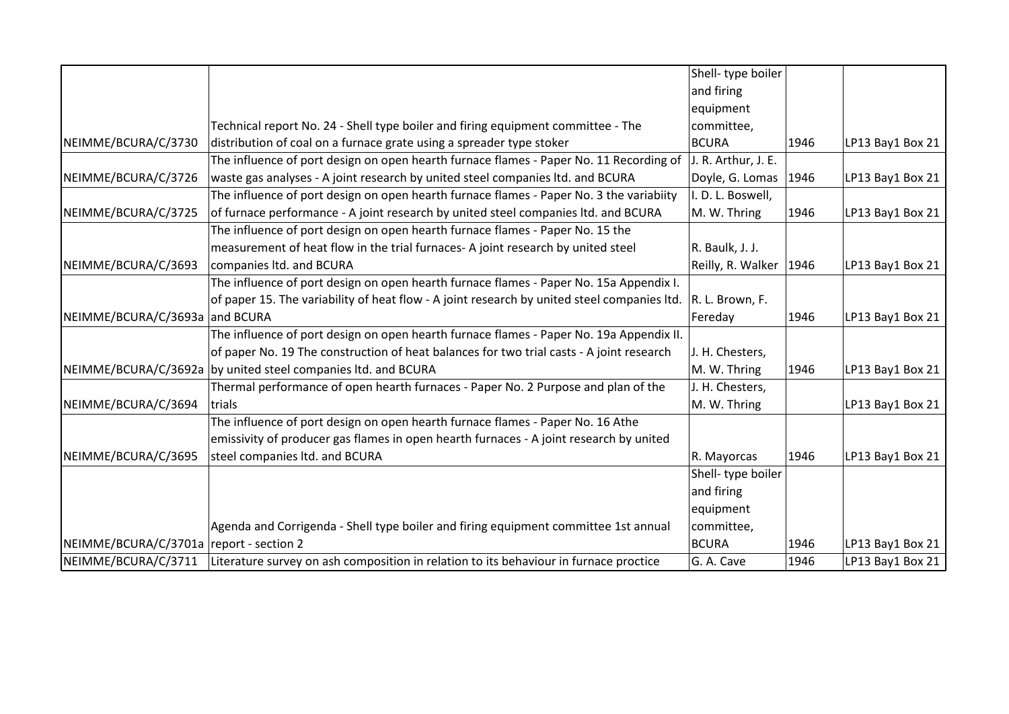|                                         |                                                                                             | Shell-type boiler        |      |                  |
|-----------------------------------------|---------------------------------------------------------------------------------------------|--------------------------|------|------------------|
|                                         |                                                                                             | and firing               |      |                  |
|                                         |                                                                                             | equipment                |      |                  |
|                                         | Technical report No. 24 - Shell type boiler and firing equipment committee - The            | committee,               |      |                  |
| NEIMME/BCURA/C/3730                     | distribution of coal on a furnace grate using a spreader type stoker                        | <b>BCURA</b>             | 1946 | LP13 Bay1 Box 21 |
|                                         | The influence of port design on open hearth furnace flames - Paper No. 11 Recording of      | J. R. Arthur, J. E.      |      |                  |
| NEIMME/BCURA/C/3726                     | waste gas analyses - A joint research by united steel companies ltd. and BCURA              | Doyle, G. Lomas   1946   |      | LP13 Bay1 Box 21 |
|                                         | The influence of port design on open hearth furnace flames - Paper No. 3 the variabiity     | I. D. L. Boswell,        |      |                  |
| NEIMME/BCURA/C/3725                     | of furnace performance - A joint research by united steel companies ltd. and BCURA          | M. W. Thring             | 1946 | LP13 Bay1 Box 21 |
|                                         | The influence of port design on open hearth furnace flames - Paper No. 15 the               |                          |      |                  |
|                                         | measurement of heat flow in the trial furnaces- A joint research by united steel            | R. Baulk, J. J.          |      |                  |
| NEIMME/BCURA/C/3693                     | companies ltd. and BCURA                                                                    | Reilly, R. Walker   1946 |      | LP13 Bay1 Box 21 |
|                                         | The influence of port design on open hearth furnace flames - Paper No. 15a Appendix I.      |                          |      |                  |
|                                         | of paper 15. The variability of heat flow - A joint research by united steel companies ltd. | R. L. Brown, F.          |      |                  |
| NEIMME/BCURA/C/3693a                    | and BCURA                                                                                   | Fereday                  | 1946 | LP13 Bay1 Box 21 |
|                                         | The influence of port design on open hearth furnace flames - Paper No. 19a Appendix II.     |                          |      |                  |
|                                         | of paper No. 19 The construction of heat balances for two trial casts - A joint research    | J. H. Chesters,          |      |                  |
| NEIMME/BCURA/C/3692a                    | by united steel companies Itd. and BCURA                                                    | M. W. Thring             | 1946 | LP13 Bay1 Box 21 |
|                                         | Thermal performance of open hearth furnaces - Paper No. 2 Purpose and plan of the           | J. H. Chesters,          |      |                  |
| NEIMME/BCURA/C/3694                     | trials                                                                                      | M. W. Thring             |      | LP13 Bay1 Box 21 |
|                                         | The influence of port design on open hearth furnace flames - Paper No. 16 Athe              |                          |      |                  |
|                                         | emissivity of producer gas flames in open hearth furnaces - A joint research by united      |                          |      |                  |
| NEIMME/BCURA/C/3695                     | steel companies ltd. and BCURA                                                              | R. Mayorcas              | 1946 | LP13 Bay1 Box 21 |
|                                         |                                                                                             | Shell-type boiler        |      |                  |
|                                         |                                                                                             | and firing               |      |                  |
|                                         |                                                                                             | equipment                |      |                  |
|                                         | Agenda and Corrigenda - Shell type boiler and firing equipment committee 1st annual         | committee,               |      |                  |
| NEIMME/BCURA/C/3701a report - section 2 |                                                                                             | <b>BCURA</b>             | 1946 | LP13 Bay1 Box 21 |
| NEIMME/BCURA/C/3711                     | Literature survey on ash composition in relation to its behaviour in furnace proctice       | G. A. Cave               | 1946 | LP13 Bay1 Box 21 |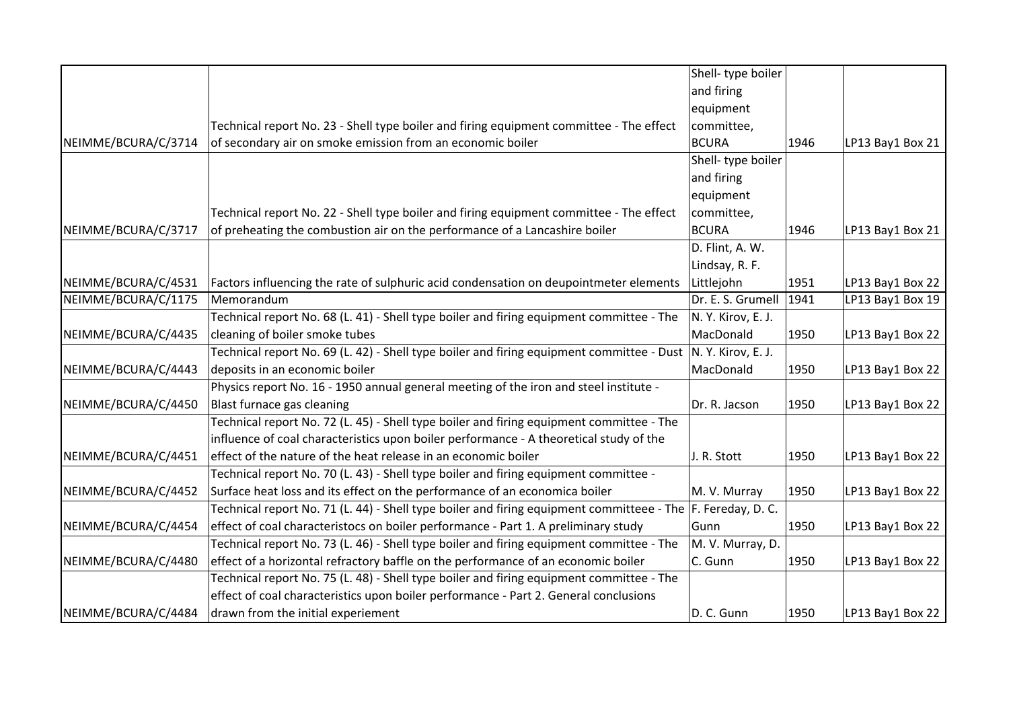|                     |                                                                                                                 | Shell-type boiler  |      |                  |
|---------------------|-----------------------------------------------------------------------------------------------------------------|--------------------|------|------------------|
|                     |                                                                                                                 | and firing         |      |                  |
|                     |                                                                                                                 | equipment          |      |                  |
|                     | Technical report No. 23 - Shell type boiler and firing equipment committee - The effect                         | committee,         |      |                  |
| NEIMME/BCURA/C/3714 | of secondary air on smoke emission from an economic boiler                                                      | <b>BCURA</b>       | 1946 | LP13 Bay1 Box 21 |
|                     |                                                                                                                 | Shell- type boiler |      |                  |
|                     |                                                                                                                 | and firing         |      |                  |
|                     |                                                                                                                 | equipment          |      |                  |
|                     | Technical report No. 22 - Shell type boiler and firing equipment committee - The effect                         | committee,         |      |                  |
| NEIMME/BCURA/C/3717 | of preheating the combustion air on the performance of a Lancashire boiler                                      | <b>BCURA</b>       | 1946 | LP13 Bay1 Box 21 |
|                     |                                                                                                                 | D. Flint, A. W.    |      |                  |
|                     |                                                                                                                 | Lindsay, R. F.     |      |                  |
| NEIMME/BCURA/C/4531 | Factors influencing the rate of sulphuric acid condensation on deupointmeter elements                           | Littlejohn         | 1951 | LP13 Bay1 Box 22 |
| NEIMME/BCURA/C/1175 | Memorandum                                                                                                      | Dr. E. S. Grumell  | 1941 | LP13 Bay1 Box 19 |
|                     | Technical report No. 68 (L. 41) - Shell type boiler and firing equipment committee - The                        | N.Y. Kirov, E.J.   |      |                  |
| NEIMME/BCURA/C/4435 | cleaning of boiler smoke tubes                                                                                  | MacDonald          | 1950 | LP13 Bay1 Box 22 |
|                     | Technical report No. 69 (L. 42) - Shell type boiler and firing equipment committee - Dust  N. Y. Kirov, E. J.   |                    |      |                  |
| NEIMME/BCURA/C/4443 | deposits in an economic boiler                                                                                  | MacDonald          | 1950 | LP13 Bay1 Box 22 |
|                     | Physics report No. 16 - 1950 annual general meeting of the iron and steel institute -                           |                    |      |                  |
| NEIMME/BCURA/C/4450 | Blast furnace gas cleaning                                                                                      | Dr. R. Jacson      | 1950 | LP13 Bay1 Box 22 |
|                     | Technical report No. 72 (L. 45) - Shell type boiler and firing equipment committee - The                        |                    |      |                  |
|                     | influence of coal characteristics upon boiler performance - A theoretical study of the                          |                    |      |                  |
| NEIMME/BCURA/C/4451 | effect of the nature of the heat release in an economic boiler                                                  | J. R. Stott        | 1950 | LP13 Bay1 Box 22 |
|                     | Technical report No. 70 (L. 43) - Shell type boiler and firing equipment committee -                            |                    |      |                  |
| NEIMME/BCURA/C/4452 | Surface heat loss and its effect on the performance of an economica boiler                                      | M. V. Murray       | 1950 | LP13 Bay1 Box 22 |
|                     | Technical report No. 71 (L. 44) - Shell type boiler and firing equipment committeee - The $ F$ . Fereday, D. C. |                    |      |                  |
| NEIMME/BCURA/C/4454 | effect of coal characteristocs on boiler performance - Part 1. A preliminary study                              | Gunn               | 1950 | LP13 Bay1 Box 22 |
|                     | Technical report No. 73 (L. 46) - Shell type boiler and firing equipment committee - The                        | M. V. Murray, D.   |      |                  |
| NEIMME/BCURA/C/4480 | effect of a horizontal refractory baffle on the performance of an economic boiler                               | C. Gunn            | 1950 | LP13 Bay1 Box 22 |
|                     | Technical report No. 75 (L. 48) - Shell type boiler and firing equipment committee - The                        |                    |      |                  |
|                     | effect of coal characteristics upon boiler performance - Part 2. General conclusions                            |                    |      |                  |
| NEIMME/BCURA/C/4484 | drawn from the initial experiement                                                                              | D. C. Gunn         | 1950 | LP13 Bay1 Box 22 |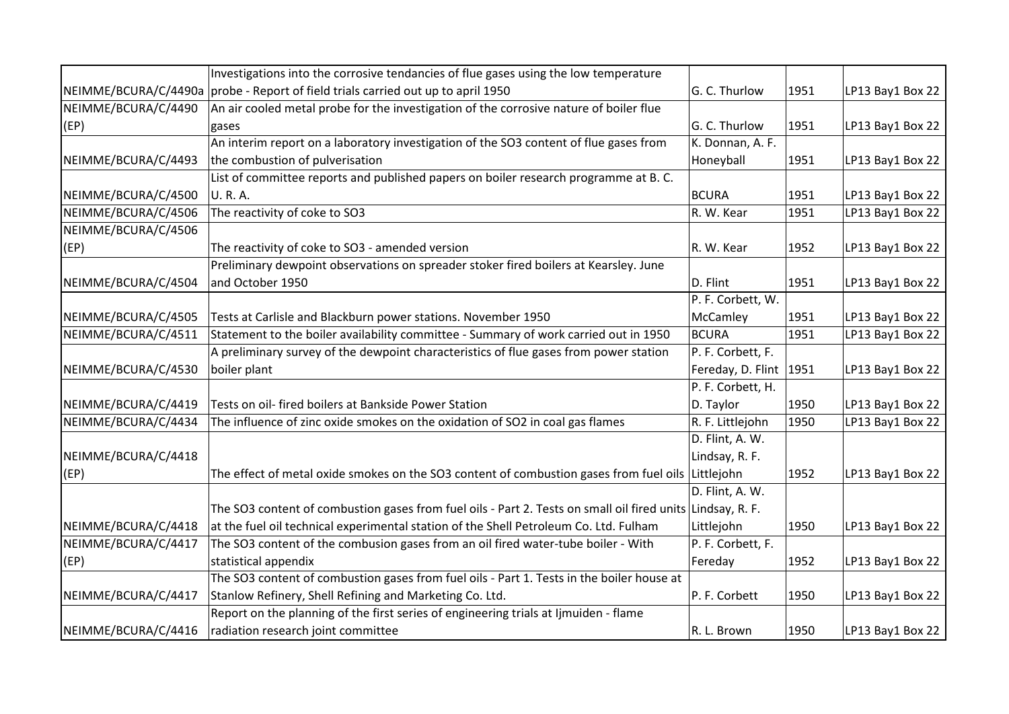|                      | Investigations into the corrosive tendancies of flue gases using the low temperature                       |                          |      |                  |
|----------------------|------------------------------------------------------------------------------------------------------------|--------------------------|------|------------------|
| NEIMME/BCURA/C/4490a | probe - Report of field trials carried out up to april 1950                                                | G. C. Thurlow            | 1951 | LP13 Bay1 Box 22 |
| NEIMME/BCURA/C/4490  | An air cooled metal probe for the investigation of the corrosive nature of boiler flue                     |                          |      |                  |
| (EP)                 | gases                                                                                                      | G. C. Thurlow            | 1951 | LP13 Bay1 Box 22 |
|                      | An interim report on a laboratory investigation of the SO3 content of flue gases from                      | K. Donnan, A. F.         |      |                  |
| NEIMME/BCURA/C/4493  | the combustion of pulverisation                                                                            | Honeyball                | 1951 | LP13 Bay1 Box 22 |
|                      | List of committee reports and published papers on boiler research programme at B.C.                        |                          |      |                  |
| NEIMME/BCURA/C/4500  | U. R. A.                                                                                                   | <b>BCURA</b>             | 1951 | LP13 Bay1 Box 22 |
| NEIMME/BCURA/C/4506  | The reactivity of coke to SO3                                                                              | R. W. Kear               | 1951 | LP13 Bay1 Box 22 |
| NEIMME/BCURA/C/4506  |                                                                                                            |                          |      |                  |
| (EP)                 | The reactivity of coke to SO3 - amended version                                                            | R. W. Kear               | 1952 | LP13 Bay1 Box 22 |
|                      | Preliminary dewpoint observations on spreader stoker fired boilers at Kearsley. June                       |                          |      |                  |
| NEIMME/BCURA/C/4504  | and October 1950                                                                                           | D. Flint                 | 1951 | LP13 Bay1 Box 22 |
|                      |                                                                                                            | P. F. Corbett, W.        |      |                  |
| NEIMME/BCURA/C/4505  | Tests at Carlisle and Blackburn power stations. November 1950                                              | McCamley                 | 1951 | LP13 Bay1 Box 22 |
| NEIMME/BCURA/C/4511  | Statement to the boiler availability committee - Summary of work carried out in 1950                       | <b>BCURA</b>             | 1951 | LP13 Bay1 Box 22 |
|                      | A preliminary survey of the dewpoint characteristics of flue gases from power station                      | P. F. Corbett, F.        |      |                  |
| NEIMME/BCURA/C/4530  | boiler plant                                                                                               | Fereday, D. Flint   1951 |      | LP13 Bay1 Box 22 |
|                      |                                                                                                            | P. F. Corbett, H.        |      |                  |
| NEIMME/BCURA/C/4419  | Tests on oil- fired boilers at Bankside Power Station                                                      | D. Taylor                | 1950 | LP13 Bay1 Box 22 |
| NEIMME/BCURA/C/4434  | The influence of zinc oxide smokes on the oxidation of SO2 in coal gas flames                              | R. F. Littlejohn         | 1950 | LP13 Bay1 Box 22 |
|                      |                                                                                                            | D. Flint, A. W.          |      |                  |
| NEIMME/BCURA/C/4418  |                                                                                                            | Lindsay, R. F.           |      |                  |
| (EP)                 | The effect of metal oxide smokes on the SO3 content of combustion gases from fuel oils                     | Littlejohn               | 1952 | LP13 Bay1 Box 22 |
|                      |                                                                                                            | D. Flint, A. W.          |      |                  |
|                      | The SO3 content of combustion gases from fuel oils - Part 2. Tests on small oil fired units Lindsay, R. F. |                          |      |                  |
| NEIMME/BCURA/C/4418  | at the fuel oil technical experimental station of the Shell Petroleum Co. Ltd. Fulham                      | Littlejohn               | 1950 | LP13 Bay1 Box 22 |
| NEIMME/BCURA/C/4417  | The SO3 content of the combusion gases from an oil fired water-tube boiler - With                          | P. F. Corbett, F.        |      |                  |
| (EP)                 | statistical appendix                                                                                       | Fereday                  | 1952 | LP13 Bay1 Box 22 |
|                      | The SO3 content of combustion gases from fuel oils - Part 1. Tests in the boiler house at                  |                          |      |                  |
| NEIMME/BCURA/C/4417  | Stanlow Refinery, Shell Refining and Marketing Co. Ltd.                                                    | P. F. Corbett            | 1950 | LP13 Bay1 Box 22 |
|                      | Report on the planning of the first series of engineering trials at limuiden - flame                       |                          |      |                  |
| NEIMME/BCURA/C/4416  | radiation research joint committee                                                                         | R. L. Brown              | 1950 | LP13 Bay1 Box 22 |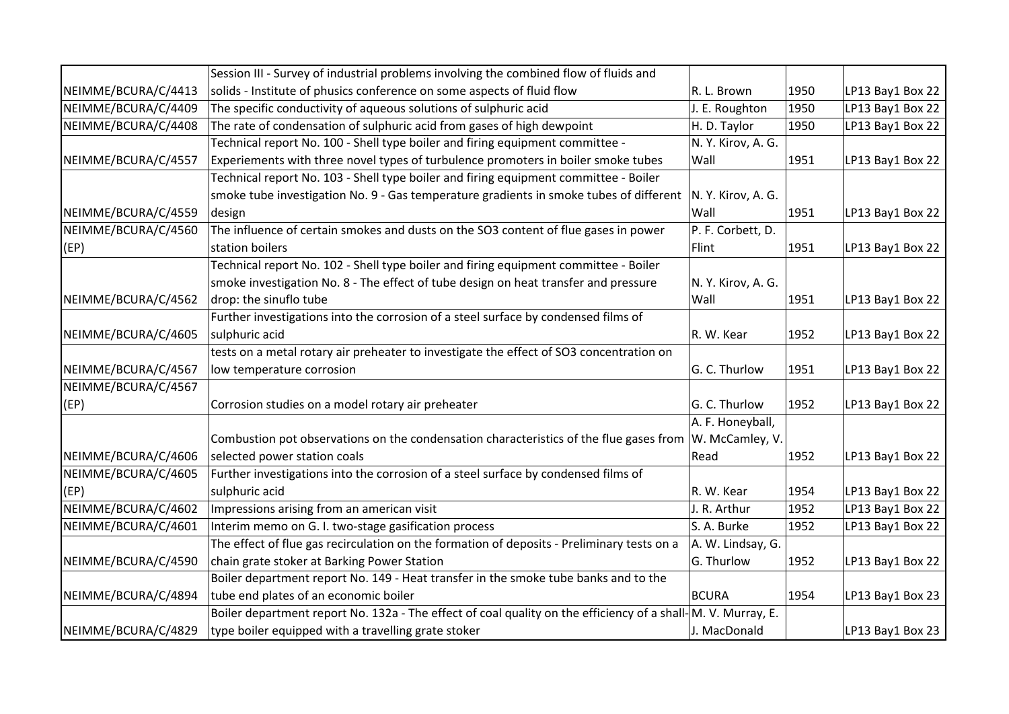|                     | Session III - Survey of industrial problems involving the combined flow of fluids and                        |                    |      |                  |
|---------------------|--------------------------------------------------------------------------------------------------------------|--------------------|------|------------------|
| NEIMME/BCURA/C/4413 | solids - Institute of phusics conference on some aspects of fluid flow                                       | R. L. Brown        | 1950 | LP13 Bay1 Box 22 |
| NEIMME/BCURA/C/4409 | The specific conductivity of aqueous solutions of sulphuric acid                                             | J. E. Roughton     | 1950 | LP13 Bay1 Box 22 |
| NEIMME/BCURA/C/4408 | The rate of condensation of sulphuric acid from gases of high dewpoint                                       | H. D. Taylor       | 1950 | LP13 Bay1 Box 22 |
|                     | Technical report No. 100 - Shell type boiler and firing equipment committee -                                | N.Y. Kirov, A.G.   |      |                  |
| NEIMME/BCURA/C/4557 | Experiements with three novel types of turbulence promoters in boiler smoke tubes                            | Wall               | 1951 | LP13 Bay1 Box 22 |
|                     | Technical report No. 103 - Shell type boiler and firing equipment committee - Boiler                         |                    |      |                  |
|                     | smoke tube investigation No. 9 - Gas temperature gradients in smoke tubes of different                       | N. Y. Kirov, A. G. |      |                  |
| NEIMME/BCURA/C/4559 | design                                                                                                       | Wall               | 1951 | LP13 Bay1 Box 22 |
| NEIMME/BCURA/C/4560 | The influence of certain smokes and dusts on the SO3 content of flue gases in power                          | P. F. Corbett, D.  |      |                  |
| (EP)                | station boilers                                                                                              | Flint              | 1951 | LP13 Bay1 Box 22 |
|                     | Technical report No. 102 - Shell type boiler and firing equipment committee - Boiler                         |                    |      |                  |
|                     | smoke investigation No. 8 - The effect of tube design on heat transfer and pressure                          | N.Y. Kirov, A.G.   |      |                  |
| NEIMME/BCURA/C/4562 | drop: the sinuflo tube                                                                                       | Wall               | 1951 | LP13 Bay1 Box 22 |
|                     | Further investigations into the corrosion of a steel surface by condensed films of                           |                    |      |                  |
| NEIMME/BCURA/C/4605 | sulphuric acid                                                                                               | R. W. Kear         | 1952 | LP13 Bay1 Box 22 |
|                     | tests on a metal rotary air preheater to investigate the effect of SO3 concentration on                      |                    |      |                  |
| NEIMME/BCURA/C/4567 | low temperature corrosion                                                                                    | G. C. Thurlow      | 1951 | LP13 Bay1 Box 22 |
| NEIMME/BCURA/C/4567 |                                                                                                              |                    |      |                  |
| (EP)                | Corrosion studies on a model rotary air preheater                                                            | G. C. Thurlow      | 1952 | LP13 Bay1 Box 22 |
|                     |                                                                                                              | A. F. Honeyball,   |      |                  |
|                     | Combustion pot observations on the condensation characteristics of the flue gases from $ W$ . McCamley, V.   |                    |      |                  |
| NEIMME/BCURA/C/4606 | selected power station coals                                                                                 | Read               | 1952 | LP13 Bay1 Box 22 |
| NEIMME/BCURA/C/4605 | Further investigations into the corrosion of a steel surface by condensed films of                           |                    |      |                  |
| (EP)                | sulphuric acid                                                                                               | R. W. Kear         | 1954 | LP13 Bay1 Box 22 |
| NEIMME/BCURA/C/4602 | Impressions arising from an american visit                                                                   | J. R. Arthur       | 1952 | LP13 Bay1 Box 22 |
| NEIMME/BCURA/C/4601 | Interim memo on G. I. two-stage gasification process                                                         | S. A. Burke        | 1952 | LP13 Bay1 Box 22 |
|                     | The effect of flue gas recirculation on the formation of deposits - Preliminary tests on a                   | A. W. Lindsay, G.  |      |                  |
| NEIMME/BCURA/C/4590 | chain grate stoker at Barking Power Station                                                                  | G. Thurlow         | 1952 | LP13 Bay1 Box 22 |
|                     | Boiler department report No. 149 - Heat transfer in the smoke tube banks and to the                          |                    |      |                  |
| NEIMME/BCURA/C/4894 | tube end plates of an economic boiler                                                                        | <b>BCURA</b>       | 1954 | LP13 Bay1 Box 23 |
|                     | Boiler department report No. 132a - The effect of coal quality on the efficiency of a shall-M. V. Murray, E. |                    |      |                  |
| NEIMME/BCURA/C/4829 | type boiler equipped with a travelling grate stoker                                                          | J. MacDonald       |      | LP13 Bay1 Box 23 |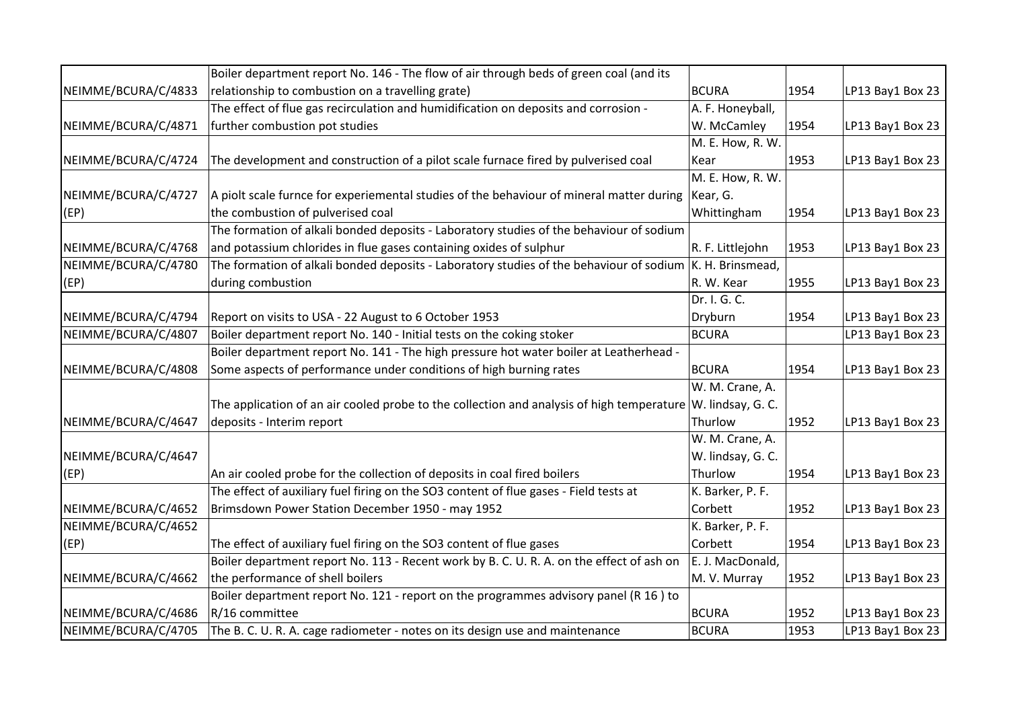|                     | Boiler department report No. 146 - The flow of air through beds of green coal (and its                    |                   |      |                  |
|---------------------|-----------------------------------------------------------------------------------------------------------|-------------------|------|------------------|
| NEIMME/BCURA/C/4833 | relationship to combustion on a travelling grate)                                                         | BCURA             | 1954 | LP13 Bay1 Box 23 |
|                     | The effect of flue gas recirculation and humidification on deposits and corrosion -                       | A. F. Honeyball,  |      |                  |
| NEIMME/BCURA/C/4871 | further combustion pot studies                                                                            | W. McCamley       | 1954 | LP13 Bay1 Box 23 |
|                     |                                                                                                           | M. E. How, R. W.  |      |                  |
| NEIMME/BCURA/C/4724 | The development and construction of a pilot scale furnace fired by pulverised coal                        | Kear              | 1953 | LP13 Bay1 Box 23 |
|                     |                                                                                                           | M. E. How, R. W.  |      |                  |
| NEIMME/BCURA/C/4727 | A piolt scale furnce for experiemental studies of the behaviour of mineral matter during                  | Kear, G.          |      |                  |
| (EP)                | the combustion of pulverised coal                                                                         | Whittingham       | 1954 | LP13 Bay1 Box 23 |
|                     | The formation of alkali bonded deposits - Laboratory studies of the behaviour of sodium                   |                   |      |                  |
| NEIMME/BCURA/C/4768 | and potassium chlorides in flue gases containing oxides of sulphur                                        | R. F. Littlejohn  | 1953 | LP13 Bay1 Box 23 |
| NEIMME/BCURA/C/4780 | The formation of alkali bonded deposits - Laboratory studies of the behaviour of sodium  K. H. Brinsmead, |                   |      |                  |
| (EP)                | during combustion                                                                                         | R. W. Kear        | 1955 | LP13 Bay1 Box 23 |
|                     |                                                                                                           | Dr. I. G. C.      |      |                  |
| NEIMME/BCURA/C/4794 | Report on visits to USA - 22 August to 6 October 1953                                                     | Dryburn           | 1954 | LP13 Bay1 Box 23 |
| NEIMME/BCURA/C/4807 | Boiler department report No. 140 - Initial tests on the coking stoker                                     | <b>BCURA</b>      |      | LP13 Bay1 Box 23 |
|                     | Boiler department report No. 141 - The high pressure hot water boiler at Leatherhead -                    |                   |      |                  |
| NEIMME/BCURA/C/4808 | Some aspects of performance under conditions of high burning rates                                        | BCURA             | 1954 | LP13 Bay1 Box 23 |
|                     |                                                                                                           | W. M. Crane, A.   |      |                  |
|                     | The application of an air cooled probe to the collection and analysis of high temperature                 | W. lindsay, G. C. |      |                  |
| NEIMME/BCURA/C/4647 | deposits - Interim report                                                                                 | Thurlow           | 1952 | LP13 Bay1 Box 23 |
|                     |                                                                                                           | W. M. Crane, A.   |      |                  |
| NEIMME/BCURA/C/4647 |                                                                                                           | W. lindsay, G. C. |      |                  |
| (EP)                | An air cooled probe for the collection of deposits in coal fired boilers                                  | Thurlow           | 1954 | LP13 Bay1 Box 23 |
|                     | The effect of auxiliary fuel firing on the SO3 content of flue gases - Field tests at                     | K. Barker, P. F.  |      |                  |
| NEIMME/BCURA/C/4652 | Brimsdown Power Station December 1950 - may 1952                                                          | Corbett           | 1952 | LP13 Bay1 Box 23 |
| NEIMME/BCURA/C/4652 |                                                                                                           | K. Barker, P. F.  |      |                  |
| (EP)                | The effect of auxiliary fuel firing on the SO3 content of flue gases                                      | Corbett           | 1954 | LP13 Bay1 Box 23 |
|                     | Boiler department report No. 113 - Recent work by B. C. U. R. A. on the effect of ash on                  | E. J. MacDonald,  |      |                  |
| NEIMME/BCURA/C/4662 | the performance of shell boilers                                                                          | M. V. Murray      | 1952 | LP13 Bay1 Box 23 |
|                     | Boiler department report No. 121 - report on the programmes advisory panel (R 16) to                      |                   |      |                  |
| NEIMME/BCURA/C/4686 | R/16 committee                                                                                            | <b>BCURA</b>      | 1952 | LP13 Bay1 Box 23 |
| NEIMME/BCURA/C/4705 | The B. C. U. R. A. cage radiometer - notes on its design use and maintenance                              | <b>BCURA</b>      | 1953 | LP13 Bay1 Box 23 |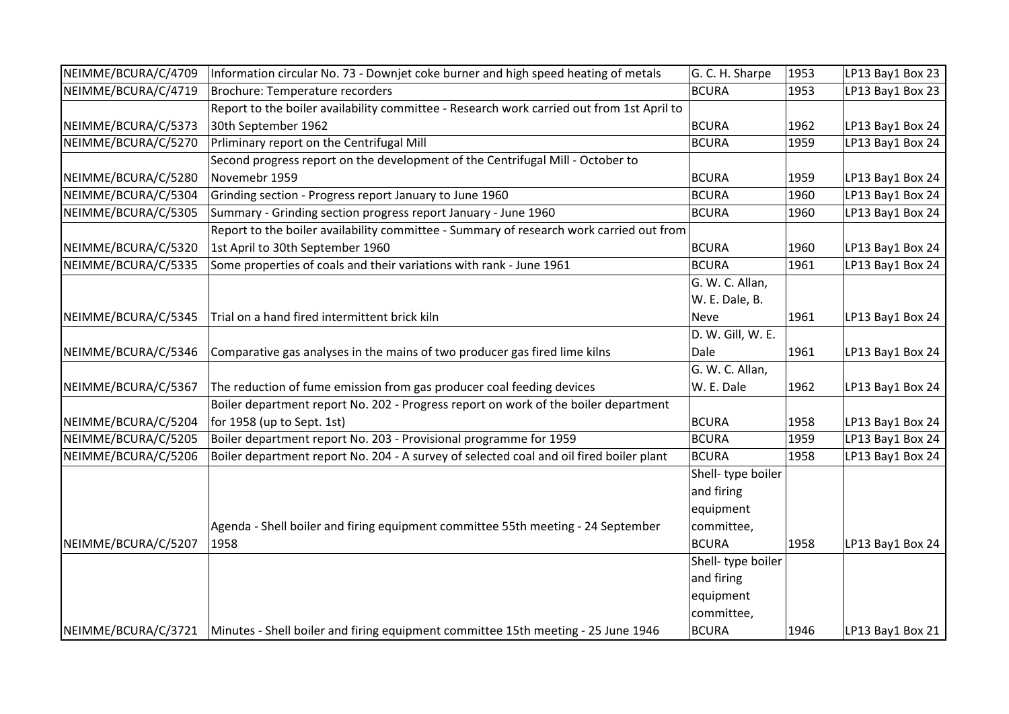| NEIMME/BCURA/C/4709 | Information circular No. 73 - Downjet coke burner and high speed heating of metals                      | G. C. H. Sharpe    | 1953 | LP13 Bay1 Box 23 |
|---------------------|---------------------------------------------------------------------------------------------------------|--------------------|------|------------------|
| NEIMME/BCURA/C/4719 | <b>Brochure: Temperature recorders</b>                                                                  | <b>BCURA</b>       | 1953 | LP13 Bay1 Box 23 |
|                     | Report to the boiler availability committee - Research work carried out from 1st April to               |                    |      |                  |
| NEIMME/BCURA/C/5373 | 30th September 1962                                                                                     | <b>BCURA</b>       | 1962 | LP13 Bay1 Box 24 |
| NEIMME/BCURA/C/5270 | Prliminary report on the Centrifugal Mill                                                               | <b>BCURA</b>       | 1959 | LP13 Bay1 Box 24 |
|                     | Second progress report on the development of the Centrifugal Mill - October to                          |                    |      |                  |
| NEIMME/BCURA/C/5280 | Novemebr 1959                                                                                           | <b>BCURA</b>       | 1959 | LP13 Bay1 Box 24 |
| NEIMME/BCURA/C/5304 | Grinding section - Progress report January to June 1960                                                 | <b>BCURA</b>       | 1960 | LP13 Bay1 Box 24 |
| NEIMME/BCURA/C/5305 | Summary - Grinding section progress report January - June 1960                                          | <b>BCURA</b>       | 1960 | LP13 Bay1 Box 24 |
|                     | Report to the boiler availability committee - Summary of research work carried out from                 |                    |      |                  |
| NEIMME/BCURA/C/5320 | 1st April to 30th September 1960                                                                        | <b>BCURA</b>       | 1960 | LP13 Bay1 Box 24 |
| NEIMME/BCURA/C/5335 | Some properties of coals and their variations with rank - June 1961                                     | <b>BCURA</b>       | 1961 | LP13 Bay1 Box 24 |
|                     |                                                                                                         | G. W. C. Allan,    |      |                  |
|                     |                                                                                                         | W. E. Dale, B.     |      |                  |
| NEIMME/BCURA/C/5345 | Trial on a hand fired intermittent brick kiln                                                           | Neve               | 1961 | LP13 Bay1 Box 24 |
|                     |                                                                                                         | D. W. Gill, W. E.  |      |                  |
| NEIMME/BCURA/C/5346 | Comparative gas analyses in the mains of two producer gas fired lime kilns                              | Dale               | 1961 | LP13 Bay1 Box 24 |
|                     |                                                                                                         | G. W. C. Allan,    |      |                  |
| NEIMME/BCURA/C/5367 | The reduction of fume emission from gas producer coal feeding devices                                   | W. E. Dale         | 1962 | LP13 Bay1 Box 24 |
|                     | Boiler department report No. 202 - Progress report on work of the boiler department                     |                    |      |                  |
| NEIMME/BCURA/C/5204 | for 1958 (up to Sept. 1st)                                                                              | <b>BCURA</b>       | 1958 | LP13 Bay1 Box 24 |
| NEIMME/BCURA/C/5205 | Boiler department report No. 203 - Provisional programme for 1959                                       | <b>BCURA</b>       | 1959 | LP13 Bay1 Box 24 |
| NEIMME/BCURA/C/5206 | Boiler department report No. 204 - A survey of selected coal and oil fired boiler plant                 | <b>BCURA</b>       | 1958 | LP13 Bay1 Box 24 |
|                     |                                                                                                         | Shell-type boiler  |      |                  |
|                     |                                                                                                         | and firing         |      |                  |
|                     |                                                                                                         | equipment          |      |                  |
|                     | Agenda - Shell boiler and firing equipment committee 55th meeting - 24 September                        | committee,         |      |                  |
| NEIMME/BCURA/C/5207 | 1958                                                                                                    | <b>BCURA</b>       | 1958 | LP13 Bay1 Box 24 |
|                     |                                                                                                         | Shell- type boiler |      |                  |
|                     |                                                                                                         | and firing         |      |                  |
|                     |                                                                                                         | equipment          |      |                  |
|                     |                                                                                                         | committee,         |      |                  |
|                     | NEIMME/BCURA/C/3721   Minutes - Shell boiler and firing equipment committee 15th meeting - 25 June 1946 | <b>BCURA</b>       | 1946 | LP13 Bay1 Box 21 |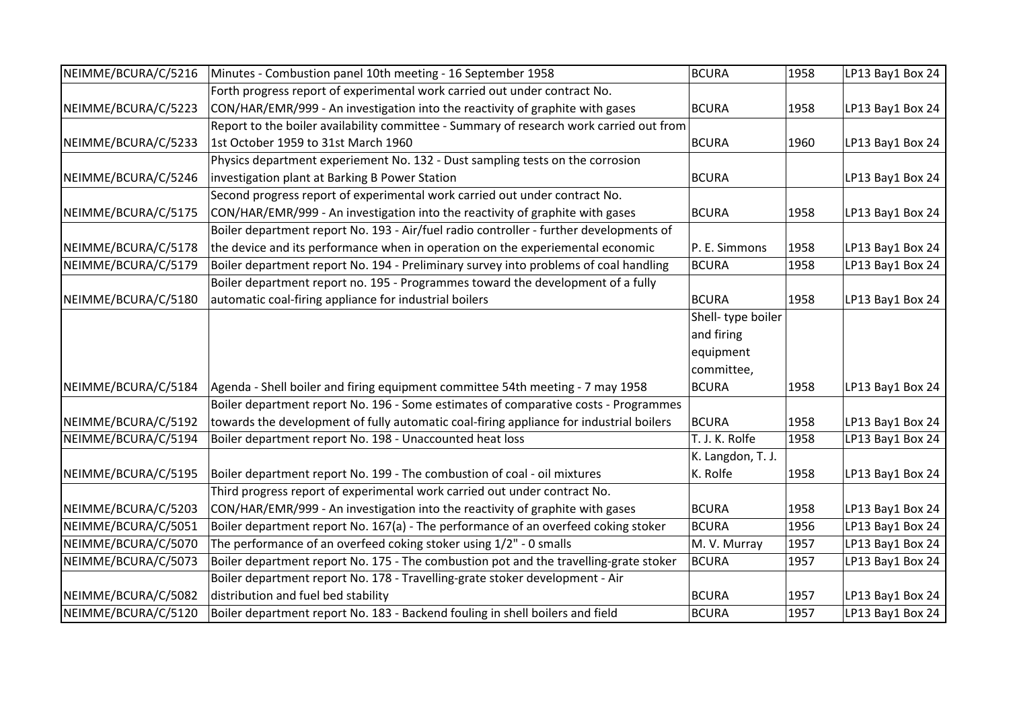| NEIMME/BCURA/C/5216 | Minutes - Combustion panel 10th meeting - 16 September 1958                             | <b>BCURA</b>      | 1958 | LP13 Bay1 Box 24 |
|---------------------|-----------------------------------------------------------------------------------------|-------------------|------|------------------|
|                     | Forth progress report of experimental work carried out under contract No.               |                   |      |                  |
| NEIMME/BCURA/C/5223 | CON/HAR/EMR/999 - An investigation into the reactivity of graphite with gases           | <b>BCURA</b>      | 1958 | LP13 Bay1 Box 24 |
|                     | Report to the boiler availability committee - Summary of research work carried out from |                   |      |                  |
| NEIMME/BCURA/C/5233 | 1st October 1959 to 31st March 1960                                                     | <b>BCURA</b>      | 1960 | LP13 Bay1 Box 24 |
|                     | Physics department experiement No. 132 - Dust sampling tests on the corrosion           |                   |      |                  |
| NEIMME/BCURA/C/5246 | investigation plant at Barking B Power Station                                          | <b>BCURA</b>      |      | LP13 Bay1 Box 24 |
|                     | Second progress report of experimental work carried out under contract No.              |                   |      |                  |
| NEIMME/BCURA/C/5175 | CON/HAR/EMR/999 - An investigation into the reactivity of graphite with gases           | BCURA             | 1958 | LP13 Bay1 Box 24 |
|                     | Boiler department report No. 193 - Air/fuel radio controller - further developments of  |                   |      |                  |
| NEIMME/BCURA/C/5178 | the device and its performance when in operation on the experiemental economic          | P. E. Simmons     | 1958 | LP13 Bay1 Box 24 |
| NEIMME/BCURA/C/5179 | Boiler department report No. 194 - Preliminary survey into problems of coal handling    | <b>BCURA</b>      | 1958 | LP13 Bay1 Box 24 |
|                     | Boiler department report no. 195 - Programmes toward the development of a fully         |                   |      |                  |
| NEIMME/BCURA/C/5180 | automatic coal-firing appliance for industrial boilers                                  | <b>BCURA</b>      | 1958 | LP13 Bay1 Box 24 |
|                     |                                                                                         | Shell-type boiler |      |                  |
|                     |                                                                                         | and firing        |      |                  |
|                     |                                                                                         | equipment         |      |                  |
|                     |                                                                                         | committee,        |      |                  |
| NEIMME/BCURA/C/5184 | Agenda - Shell boiler and firing equipment committee 54th meeting - 7 may 1958          | <b>BCURA</b>      | 1958 | LP13 Bay1 Box 24 |
|                     | Boiler department report No. 196 - Some estimates of comparative costs - Programmes     |                   |      |                  |
| NEIMME/BCURA/C/5192 | towards the development of fully automatic coal-firing appliance for industrial boilers | BCURA             | 1958 | LP13 Bay1 Box 24 |
| NEIMME/BCURA/C/5194 | Boiler department report No. 198 - Unaccounted heat loss                                | T. J. K. Rolfe    | 1958 | LP13 Bay1 Box 24 |
|                     |                                                                                         | K. Langdon, T. J. |      |                  |
| NEIMME/BCURA/C/5195 | Boiler department report No. 199 - The combustion of coal - oil mixtures                | K. Rolfe          | 1958 | LP13 Bay1 Box 24 |
|                     | Third progress report of experimental work carried out under contract No.               |                   |      |                  |
| NEIMME/BCURA/C/5203 | CON/HAR/EMR/999 - An investigation into the reactivity of graphite with gases           | <b>BCURA</b>      | 1958 | LP13 Bay1 Box 24 |
| NEIMME/BCURA/C/5051 | Boiler department report No. 167(a) - The performance of an overfeed coking stoker      | <b>BCURA</b>      | 1956 | LP13 Bay1 Box 24 |
| NEIMME/BCURA/C/5070 | The performance of an overfeed coking stoker using 1/2" - 0 smalls                      | M. V. Murray      | 1957 | LP13 Bay1 Box 24 |
| NEIMME/BCURA/C/5073 | Boiler department report No. 175 - The combustion pot and the travelling-grate stoker   | <b>BCURA</b>      | 1957 | LP13 Bay1 Box 24 |
|                     | Boiler department report No. 178 - Travelling-grate stoker development - Air            |                   |      |                  |
| NEIMME/BCURA/C/5082 | distribution and fuel bed stability                                                     | <b>BCURA</b>      | 1957 | LP13 Bay1 Box 24 |
| NEIMME/BCURA/C/5120 | Boiler department report No. 183 - Backend fouling in shell boilers and field           | <b>BCURA</b>      | 1957 | LP13 Bay1 Box 24 |